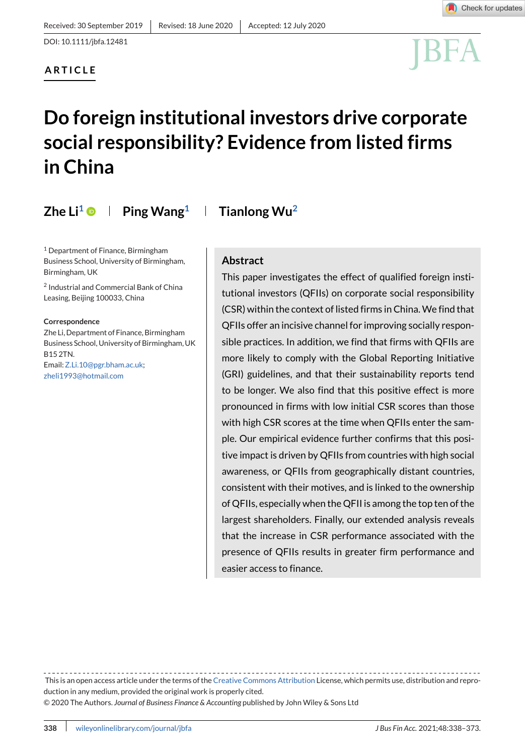

# **Do foreign institutional investors drive corporate social responsibility? Evidence from listed firms in China**

**Zhe Li<sup>1</sup>**  $\bullet$  **| Ping Wang<sup>1</sup> | Tianlong Wu<sup>2</sup>** 

<sup>1</sup> Department of Finance, Birmingham Business School, University of Birmingham, Birmingham, UK

<sup>2</sup> Industrial and Commercial Bank of China Leasing, Beijing 100033, China

**Correspondence**

Zhe Li, Department of Finance, Birmingham Business School, University of Birmingham, UK B15 2TN. Email[:Z.Li.10@pgr.bham.ac.uk;](mailto:Z.Li.10@pgr.bham.ac.uk) [zheli1993@hotmail.com](mailto:zheli1993@hotmail.com)

# **Abstract**

This paper investigates the effect of qualified foreign institutional investors (QFIIs) on corporate social responsibility (CSR) within the context of listed firms in China. We find that QFIIs offer an incisive channel for improving socially responsible practices. In addition, we find that firms with QFIIs are more likely to comply with the Global Reporting Initiative (GRI) guidelines, and that their sustainability reports tend to be longer. We also find that this positive effect is more pronounced in firms with low initial CSR scores than those with high CSR scores at the time when QFIIs enter the sample. Our empirical evidence further confirms that this positive impact is driven by QFIIs from countries with high social awareness, or QFIIs from geographically distant countries, consistent with their motives, and is linked to the ownership of QFIIs, especially when the QFII is among the top ten of the largest shareholders. Finally, our extended analysis reveals that the increase in CSR performance associated with the presence of QFIIs results in greater firm performance and easier access to finance.

This is an open access article under the terms of the [Creative Commons Attribution](http://creativecommons.org/licenses/by/4.0/) License, which permits use, distribution and reproduction in any medium, provided the original work is properly cited.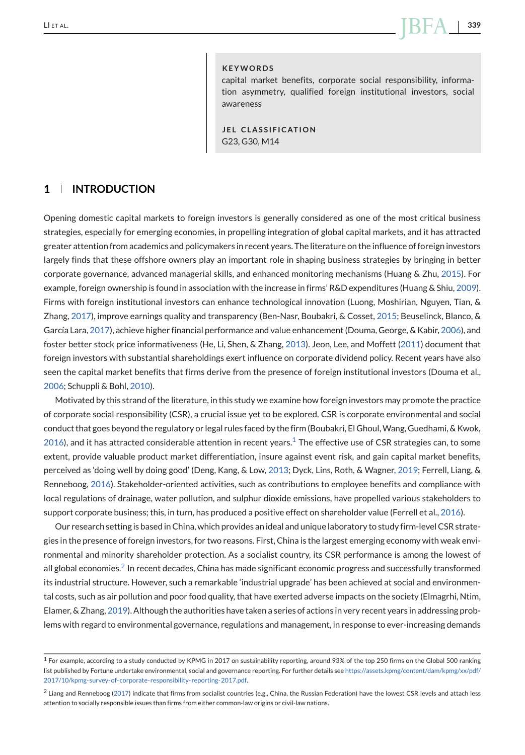# LI ET AL. **339**

#### **KEYWORDS**

capital market benefits, corporate social responsibility, information asymmetry, qualified foreign institutional investors, social awareness

**JEL CLASSIFICATION** G23, G30, M14

# **1 INTRODUCTION**

Opening domestic capital markets to foreign investors is generally considered as one of the most critical business strategies, especially for emerging economies, in propelling integration of global capital markets, and it has attracted greater attention from academics and policymakers in recent years. The literature on the influence of foreign investors largely finds that these offshore owners play an important role in shaping business strategies by bringing in better corporate governance, advanced managerial skills, and enhanced monitoring mechanisms (Huang & Zhu, [2015\)](#page-30-0). For example, foreign ownership is found in association with the increase in firms' R&D expenditures (Huang & Shiu, [2009\)](#page-30-0). Firms with foreign institutional investors can enhance technological innovation (Luong, Moshirian, Nguyen, Tian, & Zhang, [2017\)](#page-30-0), improve earnings quality and transparency (Ben-Nasr, Boubakri, & Cosset, [2015;](#page-29-0) Beuselinck, Blanco, & García Lara, [2017\)](#page-29-0), achieve higher financial performance and value enhancement (Douma, George, & Kabir, [2006\)](#page-29-0), and foster better stock price informativeness (He, Li, Shen, & Zhang, [2013\)](#page-30-0). Jeon, Lee, and Moffett [\(2011\)](#page-30-0) document that foreign investors with substantial shareholdings exert influence on corporate dividend policy. Recent years have also seen the capital market benefits that firms derive from the presence of foreign institutional investors (Douma et al., [2006;](#page-29-0) Schuppli & Bohl, [2010\)](#page-31-0).

Motivated by this strand of the literature, in this study we examine how foreign investors may promote the practice of corporate social responsibility (CSR), a crucial issue yet to be explored. CSR is corporate environmental and social conduct that goes beyond the regulatory or legal rules faced by the firm (Boubakri, El Ghoul,Wang, Guedhami, & Kwok, [2016\)](#page-29-0), and it has attracted considerable attention in recent years.<sup>1</sup> The effective use of CSR strategies can, to some extent, provide valuable product market differentiation, insure against event risk, and gain capital market benefits, perceived as 'doing well by doing good' (Deng, Kang, & Low, [2013;](#page-29-0) Dyck, Lins, Roth, & Wagner, [2019;](#page-29-0) Ferrell, Liang, & Renneboog, [2016\)](#page-29-0). Stakeholder-oriented activities, such as contributions to employee benefits and compliance with local regulations of drainage, water pollution, and sulphur dioxide emissions, have propelled various stakeholders to support corporate business; this, in turn, has produced a positive effect on shareholder value (Ferrell et al., [2016\)](#page-29-0).

Our research setting is based in China, which provides an ideal and unique laboratory to study firm-level CSR strategies in the presence of foreign investors, for two reasons. First, China is the largest emerging economy with weak environmental and minority shareholder protection. As a socialist country, its CSR performance is among the lowest of all global economies.<sup>2</sup> In recent decades, China has made significant economic progress and successfully transformed its industrial structure. However, such a remarkable 'industrial upgrade' has been achieved at social and environmental costs, such as air pollution and poor food quality, that have exerted adverse impacts on the society (Elmagrhi, Ntim, Elamer, & Zhang, [2019\)](#page-29-0). Although the authorities have taken a series of actions in very recent years in addressing problems with regard to environmental governance, regulations and management, in response to ever-increasing demands

<sup>&</sup>lt;sup>1</sup> For example, according to a study conducted by KPMG in 2017 on sustainability reporting, around 93% of the top 250 firms on the Global 500 ranking list published by Fortune undertake environmental, social and governance reporting. For further details see [https://assets.kpmg/content/dam/kpmg/xx/pdf/](https://assets.kpmg/content/dam/kpmg/xx/pdf/2017/10/kpmg-survey-of-corporate-responsibility-reporting-2017.pdf) [2017/10/kpmg-survey-of-corporate-responsibility-reporting-2017.pdf.](https://assets.kpmg/content/dam/kpmg/xx/pdf/2017/10/kpmg-survey-of-corporate-responsibility-reporting-2017.pdf)

<sup>2</sup> Liang and Renneboog [\(2017\)](#page-30-0) indicate that firms from socialist countries (e.g., China, the Russian Federation) have the lowest CSR levels and attach less attention to socially responsible issues than firms from either common-law origins or civil-law nations.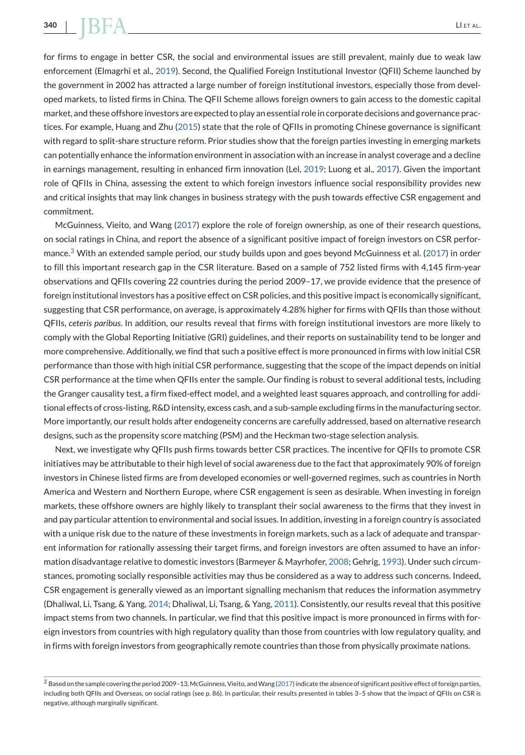for firms to engage in better CSR, the social and environmental issues are still prevalent, mainly due to weak law enforcement (Elmagrhi et al., [2019\)](#page-29-0). Second, the Qualified Foreign Institutional Investor (QFII) Scheme launched by the government in 2002 has attracted a large number of foreign institutional investors, especially those from developed markets, to listed firms in China. The QFII Scheme allows foreign owners to gain access to the domestic capital market, and these offshore investors are expected to play an essential role in corporate decisions and governance practices. For example, Huang and Zhu [\(2015\)](#page-30-0) state that the role of QFIIs in promoting Chinese governance is significant with regard to split-share structure reform. Prior studies show that the foreign parties investing in emerging markets can potentially enhance the information environment in association with an increase in analyst coverage and a decline in earnings management, resulting in enhanced firm innovation (Lel, [2019;](#page-30-0) Luong et al., [2017\)](#page-30-0). Given the important role of QFIIs in China, assessing the extent to which foreign investors influence social responsibility provides new and critical insights that may link changes in business strategy with the push towards effective CSR engagement and commitment.

McGuinness, Vieito, and Wang [\(2017\)](#page-31-0) explore the role of foreign ownership, as one of their research questions, on social ratings in China, and report the absence of a significant positive impact of foreign investors on CSR performance.<sup>3</sup> With an extended sample period, our study builds upon and goes beyond McGuinness et al. [\(2017\)](#page-31-0) in order to fill this important research gap in the CSR literature. Based on a sample of 752 listed firms with 4,145 firm-year observations and QFIIs covering 22 countries during the period 2009–17, we provide evidence that the presence of foreign institutional investors has a positive effect on CSR policies, and this positive impact is economically significant, suggesting that CSR performance, on average, is approximately 4.28% higher for firms with QFIIs than those without QFIIs, *ceteris paribus*. In addition, our results reveal that firms with foreign institutional investors are more likely to comply with the Global Reporting Initiative (GRI) guidelines, and their reports on sustainability tend to be longer and more comprehensive. Additionally, we find that such a positive effect is more pronounced in firms with low initial CSR performance than those with high initial CSR performance, suggesting that the scope of the impact depends on initial CSR performance at the time when QFIIs enter the sample. Our finding is robust to several additional tests, including the Granger causality test, a firm fixed-effect model, and a weighted least squares approach, and controlling for additional effects of cross-listing, R&D intensity, excess cash, and a sub-sample excluding firms in the manufacturing sector. More importantly, our result holds after endogeneity concerns are carefully addressed, based on alternative research designs, such as the propensity score matching (PSM) and the Heckman two-stage selection analysis.

Next, we investigate why QFIIs push firms towards better CSR practices. The incentive for QFIIs to promote CSR initiatives may be attributable to their high level of social awareness due to the fact that approximately 90% of foreign investors in Chinese listed firms are from developed economies or well-governed regimes, such as countries in North America and Western and Northern Europe, where CSR engagement is seen as desirable. When investing in foreign markets, these offshore owners are highly likely to transplant their social awareness to the firms that they invest in and pay particular attention to environmental and social issues. In addition, investing in a foreign country is associated with a unique risk due to the nature of these investments in foreign markets, such as a lack of adequate and transparent information for rationally assessing their target firms, and foreign investors are often assumed to have an information disadvantage relative to domestic investors (Barmeyer & Mayrhofer, [2008;](#page-28-0) Gehrig, [1993\)](#page-29-0). Under such circumstances, promoting socially responsible activities may thus be considered as a way to address such concerns. Indeed, CSR engagement is generally viewed as an important signalling mechanism that reduces the information asymmetry (Dhaliwal, Li, Tsang, & Yang, [2014;](#page-29-0) Dhaliwal, Li, Tsang, & Yang, [2011\)](#page-29-0). Consistently, our results reveal that this positive impact stems from two channels. In particular, we find that this positive impact is more pronounced in firms with foreign investors from countries with high regulatory quality than those from countries with low regulatory quality, and in firms with foreign investors from geographically remote countries than those from physically proximate nations.

 $3$  Based on the sample covering the period 2009-13, McGuinness, Vieito, and Wang [\(2017\)](#page-31-0) indicate the absence of significant positive effect of foreign parties, including both QFIIs and Overseas, on social ratings (see p. 86). In particular, their results presented in tables 3–5 show that the impact of QFIIs on CSR is negative, although marginally significant.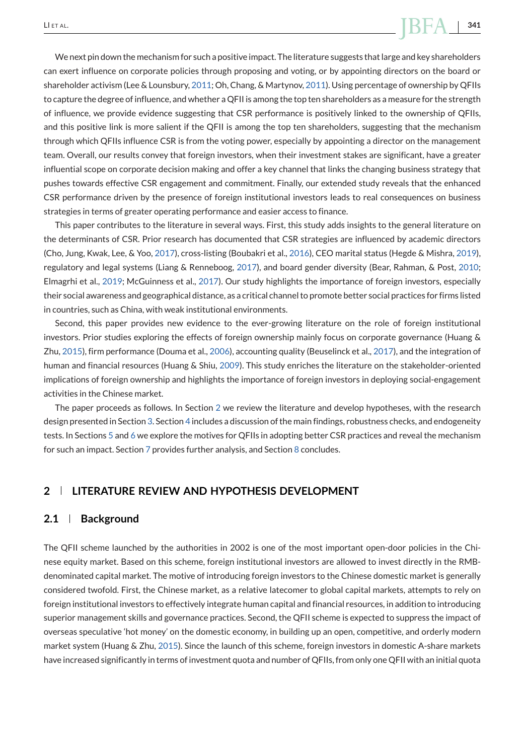We next pin down the mechanism for such a positive impact. The literature suggests that large and key shareholders can exert influence on corporate policies through proposing and voting, or by appointing directors on the board or shareholder activism (Lee & Lounsbury, [2011;](#page-30-0) Oh, Chang, & Martynov, [2011\)](#page-31-0). Using percentage of ownership by QFIIs to capture the degree of influence, and whether a QFII is among the top ten shareholders as a measure for the strength of influence, we provide evidence suggesting that CSR performance is positively linked to the ownership of QFIIs, and this positive link is more salient if the QFII is among the top ten shareholders, suggesting that the mechanism through which QFIIs influence CSR is from the voting power, especially by appointing a director on the management team. Overall, our results convey that foreign investors, when their investment stakes are significant, have a greater influential scope on corporate decision making and offer a key channel that links the changing business strategy that pushes towards effective CSR engagement and commitment. Finally, our extended study reveals that the enhanced CSR performance driven by the presence of foreign institutional investors leads to real consequences on business strategies in terms of greater operating performance and easier access to finance.

This paper contributes to the literature in several ways. First, this study adds insights to the general literature on the determinants of CSR. Prior research has documented that CSR strategies are influenced by academic directors (Cho, Jung, Kwak, Lee, & Yoo, [2017\)](#page-29-0), cross-listing (Boubakri et al., [2016\)](#page-29-0), CEO marital status (Hegde & Mishra, [2019\)](#page-30-0), regulatory and legal systems (Liang & Renneboog, [2017\)](#page-30-0), and board gender diversity (Bear, Rahman, & Post, [2010;](#page-29-0) Elmagrhi et al., [2019;](#page-29-0) McGuinness et al., [2017\)](#page-31-0). Our study highlights the importance of foreign investors, especially their social awareness and geographical distance, as a critical channel to promote better social practices for firms listed in countries, such as China, with weak institutional environments.

Second, this paper provides new evidence to the ever-growing literature on the role of foreign institutional investors. Prior studies exploring the effects of foreign ownership mainly focus on corporate governance (Huang & Zhu, [2015\)](#page-30-0), firm performance (Douma et al., [2006\)](#page-29-0), accounting quality (Beuselinck et al., [2017\)](#page-29-0), and the integration of human and financial resources (Huang & Shiu, [2009\)](#page-30-0). This study enriches the literature on the stakeholder-oriented implications of foreign ownership and highlights the importance of foreign investors in deploying social-engagement activities in the Chinese market.

The paper proceeds as follows. In Section 2 we review the literature and develop hypotheses, with the research design presented in Section [3.](#page-5-0) Section [4](#page-7-0) includes a discussion of the main findings, robustness checks, and endogeneity tests. In Sections [5](#page-22-0) and [6](#page-25-0) we explore the motives for QFIIs in adopting better CSR practices and reveal the mechanism for such an impact. Section [7](#page-26-0) provides further analysis, and Section [8](#page-28-0) concludes.

# **2 LITERATURE REVIEW AND HYPOTHESIS DEVELOPMENT**

### **2.1 Background**

The QFII scheme launched by the authorities in 2002 is one of the most important open-door policies in the Chinese equity market. Based on this scheme, foreign institutional investors are allowed to invest directly in the RMBdenominated capital market. The motive of introducing foreign investors to the Chinese domestic market is generally considered twofold. First, the Chinese market, as a relative latecomer to global capital markets, attempts to rely on foreign institutional investors to effectively integrate human capital and financial resources, in addition to introducing superior management skills and governance practices. Second, the QFII scheme is expected to suppress the impact of overseas speculative 'hot money' on the domestic economy, in building up an open, competitive, and orderly modern market system (Huang & Zhu, [2015\)](#page-30-0). Since the launch of this scheme, foreign investors in domestic A-share markets have increased significantly in terms of investment quota and number of QFIIs, from only one QFII with an initial quota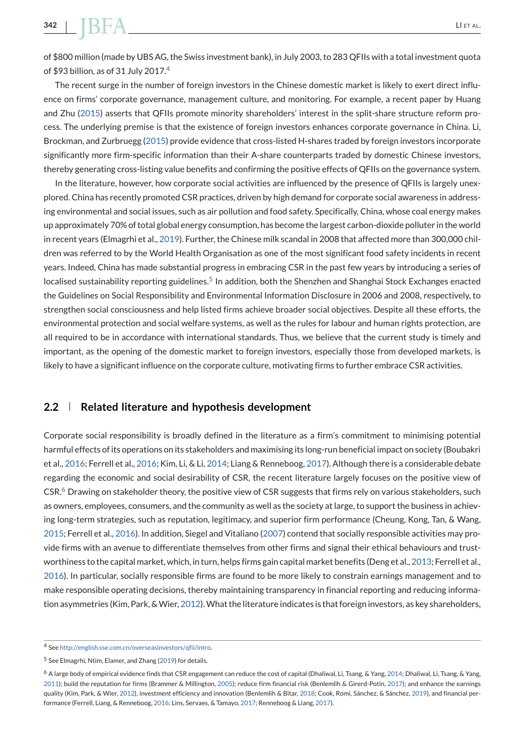of \$800 million (made by UBS AG, the Swiss investment bank), in July 2003, to 283 QFIIs with a total investment quota of \$93 billion, as of 31 July 2017.<sup>4</sup>

The recent surge in the number of foreign investors in the Chinese domestic market is likely to exert direct influence on firms' corporate governance, management culture, and monitoring. For example, a recent paper by Huang and Zhu [\(2015\)](#page-30-0) asserts that QFIIs promote minority shareholders' interest in the split-share structure reform process. The underlying premise is that the existence of foreign investors enhances corporate governance in China. Li, Brockman, and Zurbruegg [\(2015\)](#page-30-0) provide evidence that cross-listed H-shares traded by foreign investors incorporate significantly more firm-specific information than their A-share counterparts traded by domestic Chinese investors, thereby generating cross-listing value benefits and confirming the positive effects of QFIIs on the governance system.

In the literature, however, how corporate social activities are influenced by the presence of QFIIs is largely unexplored. China has recently promoted CSR practices, driven by high demand for corporate social awareness in addressing environmental and social issues, such as air pollution and food safety. Specifically, China, whose coal energy makes up approximately 70% of total global energy consumption, has become the largest carbon-dioxide polluter in the world in recent years (Elmagrhi et al., [2019\)](#page-29-0). Further, the Chinese milk scandal in 2008 that affected more than 300,000 children was referred to by the World Health Organisation as one of the most significant food safety incidents in recent years. Indeed, China has made substantial progress in embracing CSR in the past few years by introducing a series of localised sustainability reporting guidelines.<sup>5</sup> In addition, both the Shenzhen and Shanghai Stock Exchanges enacted the Guidelines on Social Responsibility and Environmental Information Disclosure in 2006 and 2008, respectively, to strengthen social consciousness and help listed firms achieve broader social objectives. Despite all these efforts, the environmental protection and social welfare systems, as well as the rules for labour and human rights protection, are all required to be in accordance with international standards. Thus, we believe that the current study is timely and important, as the opening of the domestic market to foreign investors, especially those from developed markets, is likely to have a significant influence on the corporate culture, motivating firms to further embrace CSR activities.

### **2.2 Related literature and hypothesis development**

Corporate social responsibility is broadly defined in the literature as a firm's commitment to minimising potential harmful effects of its operations on its stakeholders and maximising its long-run beneficial impact on society (Boubakri et al., [2016;](#page-29-0) Ferrell et al., [2016;](#page-29-0) Kim, Li, & Li, [2014;](#page-30-0) Liang & Renneboog, [2017\)](#page-30-0). Although there is a considerable debate regarding the economic and social desirability of CSR, the recent literature largely focuses on the positive view of CSR.<sup>6</sup> Drawing on stakeholder theory, the positive view of CSR suggests that firms rely on various stakeholders, such as owners, employees, consumers, and the community as well as the society at large, to support the business in achieving long-term strategies, such as reputation, legitimacy, and superior firm performance (Cheung, Kong, Tan, & Wang, [2015;](#page-29-0) Ferrell et al., [2016\)](#page-29-0). In addition, Siegel and Vitaliano [\(2007\)](#page-31-0) contend that socially responsible activities may provide firms with an avenue to differentiate themselves from other firms and signal their ethical behaviours and trustworthiness to the capital market, which, in turn, helps firms gain capital market benefits (Deng et al., [2013;](#page-29-0) Ferrell et al., [2016\)](#page-29-0). In particular, socially responsible firms are found to be more likely to constrain earnings management and to make responsible operating decisions, thereby maintaining transparency in financial reporting and reducing informa-tion asymmetries (Kim, Park, & Wier, [2012\)](#page-30-0). What the literature indicates is that foreign investors, as key shareholders,

<sup>4</sup> See [http://english.sse.com.cn/overseasinvestors/qfii/intro.](http://english.sse.com.cn/overseasinvestors/qfii/intro)

<sup>5</sup> See Elmagrhi, Ntim, Elamer, and Zhang [\(2019\)](#page-29-0) for details.

<sup>&</sup>lt;sup>6</sup> A large body of empirical evidence finds that CSR engagement can reduce the cost of capital (Dhaliwal, Li, Tsang, & Yang, [2014;](#page-29-0) Dhaliwal, Li, Tsang, & Yang, [2011\)](#page-29-0); build the reputation for firms (Brammer & Millington, [2005\)](#page-29-0); reduce firm financial risk (Benlemlih & Girerd-Potin, [2017\)](#page-29-0); and enhance the earnings quality (Kim, Park, & Wier, [2012\)](#page-30-0), investment efficiency and innovation (Benlemlih & Bitar, [2018;](#page-29-0) Cook, Romi, Sánchez, & Sánchez, [2019\)](#page-29-0), and financial performance (Ferrell, Liang, & Renneboog, [2016;](#page-29-0) Lins, Servaes, & Tamayo, [2017;](#page-30-0) Renneboog & Liang, [2017\)](#page-31-0).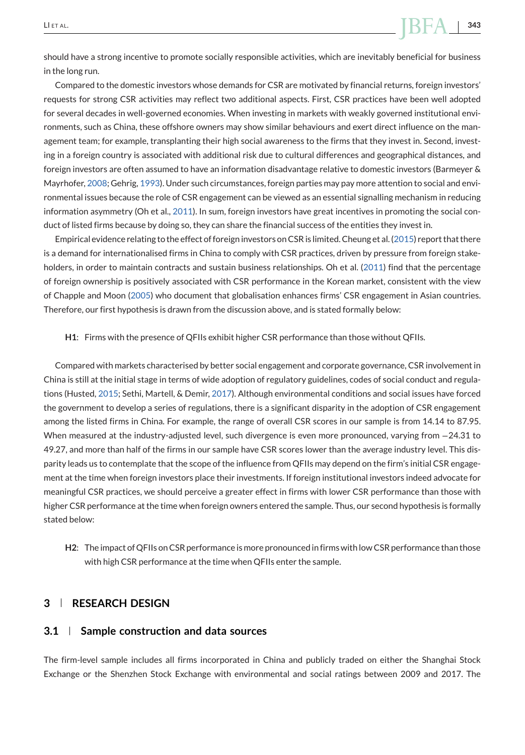<span id="page-5-0"></span>should have a strong incentive to promote socially responsible activities, which are inevitably beneficial for business in the long run.

Compared to the domestic investors whose demands for CSR are motivated by financial returns, foreign investors' requests for strong CSR activities may reflect two additional aspects. First, CSR practices have been well adopted for several decades in well-governed economies. When investing in markets with weakly governed institutional environments, such as China, these offshore owners may show similar behaviours and exert direct influence on the management team; for example, transplanting their high social awareness to the firms that they invest in. Second, investing in a foreign country is associated with additional risk due to cultural differences and geographical distances, and foreign investors are often assumed to have an information disadvantage relative to domestic investors (Barmeyer & Mayrhofer, [2008;](#page-28-0) Gehrig, [1993\)](#page-29-0). Under such circumstances, foreign parties may pay more attention to social and environmental issues because the role of CSR engagement can be viewed as an essential signalling mechanism in reducing information asymmetry (Oh et al., [2011\)](#page-31-0). In sum, foreign investors have great incentives in promoting the social conduct of listed firms because by doing so, they can share the financial success of the entities they invest in.

Empirical evidence relating to the effect of foreign investors on CSR is limited. Cheung et al. [\(2015\)](#page-29-0) report that there is a demand for internationalised firms in China to comply with CSR practices, driven by pressure from foreign stake-holders, in order to maintain contracts and sustain business relationships. Oh et al. [\(2011\)](#page-31-0) find that the percentage of foreign ownership is positively associated with CSR performance in the Korean market, consistent with the view of Chapple and Moon [\(2005\)](#page-29-0) who document that globalisation enhances firms' CSR engagement in Asian countries. Therefore, our first hypothesis is drawn from the discussion above, and is stated formally below:

#### **H1**: Firms with the presence of QFIIs exhibit higher CSR performance than those without QFIIs.

Compared with markets characterised by better social engagement and corporate governance, CSR involvement in China is still at the initial stage in terms of wide adoption of regulatory guidelines, codes of social conduct and regulations (Husted, [2015;](#page-30-0) Sethi, Martell, & Demir, [2017\)](#page-31-0). Although environmental conditions and social issues have forced the government to develop a series of regulations, there is a significant disparity in the adoption of CSR engagement among the listed firms in China. For example, the range of overall CSR scores in our sample is from 14.14 to 87.95. When measured at the industry-adjusted level, such divergence is even more pronounced, varying from -24.31 to 49.27, and more than half of the firms in our sample have CSR scores lower than the average industry level. This disparity leads us to contemplate that the scope of the influence from QFIIs may depend on the firm's initial CSR engagement at the time when foreign investors place their investments. If foreign institutional investors indeed advocate for meaningful CSR practices, we should perceive a greater effect in firms with lower CSR performance than those with higher CSR performance at the time when foreign owners entered the sample. Thus, our second hypothesis is formally stated below:

**H2**: The impact of QFIIs on CSR performance is more pronounced in firms with low CSR performance than those with high CSR performance at the time when QFIIs enter the sample.

# **3 RESEARCH DESIGN**

### **3.1 Sample construction and data sources**

The firm-level sample includes all firms incorporated in China and publicly traded on either the Shanghai Stock Exchange or the Shenzhen Stock Exchange with environmental and social ratings between 2009 and 2017. The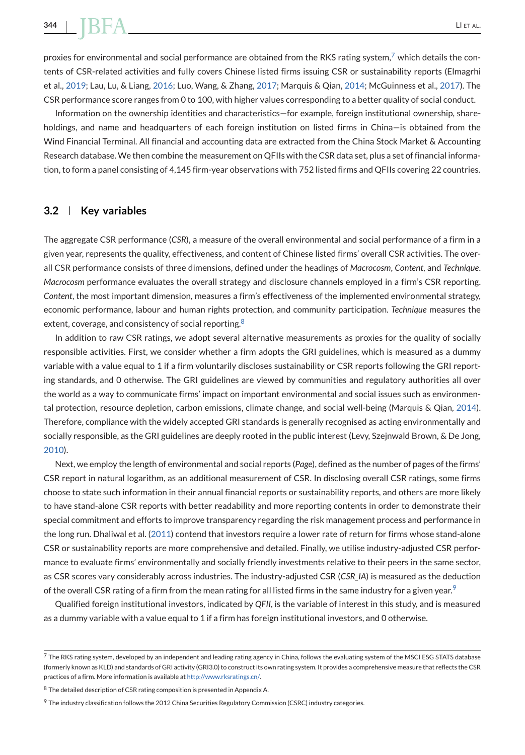proxies for environmental and social performance are obtained from the RKS rating system,<sup>7</sup> which details the contents of CSR-related activities and fully covers Chinese listed firms issuing CSR or sustainability reports (Elmagrhi et al., [2019;](#page-29-0) Lau, Lu, & Liang, [2016;](#page-30-0) Luo, Wang, & Zhang, [2017;](#page-30-0) Marquis & Qian, [2014;](#page-30-0) McGuinness et al., [2017\)](#page-31-0). The CSR performance score ranges from 0 to 100, with higher values corresponding to a better quality of social conduct.

Information on the ownership identities and characteristics—for example, foreign institutional ownership, shareholdings, and name and headquarters of each foreign institution on listed firms in China—is obtained from the Wind Financial Terminal. All financial and accounting data are extracted from the China Stock Market & Accounting Research database. We then combine the measurement on QFIIs with the CSR data set, plus a set of financial information, to form a panel consisting of 4,145 firm-year observations with 752 listed firms and QFIIs covering 22 countries.

# **3.2 Key variables**

The aggregate CSR performance (*CSR*), a measure of the overall environmental and social performance of a firm in a given year, represents the quality, effectiveness, and content of Chinese listed firms' overall CSR activities. The overall CSR performance consists of three dimensions, defined under the headings of *Macrocosm*, *Content*, and *Technique*. *Macrocosm* performance evaluates the overall strategy and disclosure channels employed in a firm's CSR reporting. *Content*, the most important dimension, measures a firm's effectiveness of the implemented environmental strategy, economic performance, labour and human rights protection, and community participation. *Technique* measures the extent, coverage, and consistency of social reporting.<sup>8</sup>

In addition to raw CSR ratings, we adopt several alternative measurements as proxies for the quality of socially responsible activities. First, we consider whether a firm adopts the GRI guidelines, which is measured as a dummy variable with a value equal to 1 if a firm voluntarily discloses sustainability or CSR reports following the GRI reporting standards, and 0 otherwise. The GRI guidelines are viewed by communities and regulatory authorities all over the world as a way to communicate firms' impact on important environmental and social issues such as environmental protection, resource depletion, carbon emissions, climate change, and social well-being (Marquis & Qian, [2014\)](#page-30-0). Therefore, compliance with the widely accepted GRI standards is generally recognised as acting environmentally and socially responsible, as the GRI guidelines are deeply rooted in the public interest (Levy, Szejnwald Brown, & De Jong, [2010\)](#page-30-0).

Next, we employ the length of environmental and social reports (*Page*), defined as the number of pages of the firms' CSR report in natural logarithm, as an additional measurement of CSR. In disclosing overall CSR ratings, some firms choose to state such information in their annual financial reports or sustainability reports, and others are more likely to have stand-alone CSR reports with better readability and more reporting contents in order to demonstrate their special commitment and efforts to improve transparency regarding the risk management process and performance in the long run. Dhaliwal et al. [\(2011\)](#page-29-0) contend that investors require a lower rate of return for firms whose stand-alone CSR or sustainability reports are more comprehensive and detailed. Finally, we utilise industry-adjusted CSR performance to evaluate firms' environmentally and socially friendly investments relative to their peers in the same sector, as CSR scores vary considerably across industries. The industry-adjusted CSR (*CSR\_IA*) is measured as the deduction of the overall CSR rating of a firm from the mean rating for all listed firms in the same industry for a given year.<sup>9</sup>

Qualified foreign institutional investors, indicated by *QFII*, is the variable of interest in this study, and is measured as a dummy variable with a value equal to 1 if a firm has foreign institutional investors, and 0 otherwise.

 $^7$  The RKS rating system, developed by an independent and leading rating agency in China, follows the evaluating system of the MSCI ESG STATS database (formerly known as KLD) and standards of GRI activity (GRI3.0) to construct its own rating system. It provides a comprehensive measure that reflects the CSR practices of a firm. More information is available at [http://www.rksratings.cn/.](http://www.rksratings.cn/)

<sup>8</sup> The detailed description of CSR rating composition is presented in Appendix A.

<sup>9</sup> The industry classification follows the 2012 China Securities Regulatory Commission (CSRC) industry categories.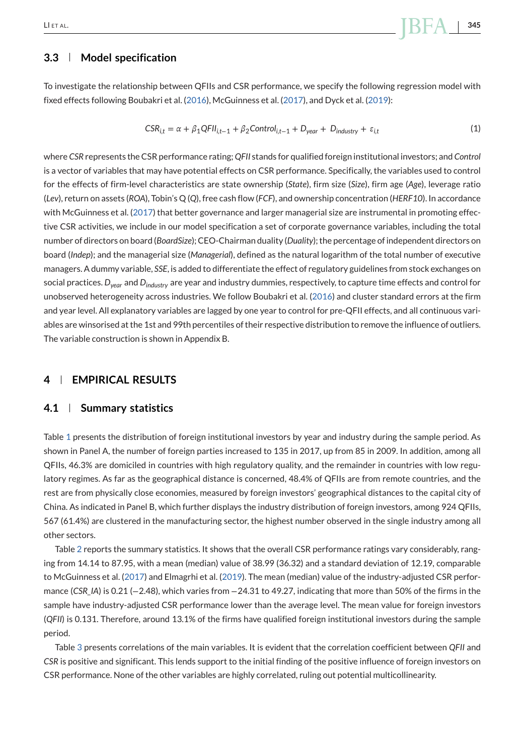# <span id="page-7-0"></span>**3.3 Model specification**

To investigate the relationship between QFIIs and CSR performance, we specify the following regression model with fixed effects following Boubakri et al. [\(2016\)](#page-29-0), McGuinness et al. [\(2017\)](#page-31-0), and Dyck et al. [\(2019\)](#page-29-0):

$$
CSR_{i,t} = \alpha + \beta_1 QFI_{i,t-1} + \beta_2 Control_{i,t-1} + D_{year} + D_{industry} + \varepsilon_{i,t}
$$
\n(1)

where *CSR* represents the CSR performance rating; *QFII* stands for qualified foreign institutional investors; and *Control* is a vector of variables that may have potential effects on CSR performance. Specifically, the variables used to control for the effects of firm-level characteristics are state ownership (*State*), firm size (*Size*), firm age (*Age*), leverage ratio (*Lev*), return on assets (*ROA*), Tobin's Q (*Q*), free cash flow (*FCF*), and ownership concentration (*HERF10*). In accordance with McGuinness et al. [\(2017\)](#page-31-0) that better governance and larger managerial size are instrumental in promoting effective CSR activities, we include in our model specification a set of corporate governance variables, including the total number of directors on board (*BoardSize*); CEO-Chairman duality (*Duality*); the percentage of independent directors on board (*Indep*); and the managerial size (*Managerial*), defined as the natural logarithm of the total number of executive managers. A dummy variable, *SSE*, is added to differentiate the effect of regulatory guidelines from stock exchanges on social practices. *Dyear* and *Dindustry* are year and industry dummies, respectively, to capture time effects and control for unobserved heterogeneity across industries. We follow Boubakri et al. [\(2016\)](#page-29-0) and cluster standard errors at the firm and year level. All explanatory variables are lagged by one year to control for pre-QFII effects, and all continuous variables are winsorised at the 1st and 99th percentiles of their respective distribution to remove the influence of outliers. The variable construction is shown in Appendix B.

# **4 EMPIRICAL RESULTS**

### **4.1 Summary statistics**

Table [1](#page-8-0) presents the distribution of foreign institutional investors by year and industry during the sample period. As shown in Panel A, the number of foreign parties increased to 135 in 2017, up from 85 in 2009. In addition, among all QFIIs, 46.3% are domiciled in countries with high regulatory quality, and the remainder in countries with low regulatory regimes. As far as the geographical distance is concerned, 48.4% of QFIIs are from remote countries, and the rest are from physically close economies, measured by foreign investors' geographical distances to the capital city of China. As indicated in Panel B, which further displays the industry distribution of foreign investors, among 924 QFIIs, 567 (61.4%) are clustered in the manufacturing sector, the highest number observed in the single industry among all other sectors.

Table [2](#page-9-0) reports the summary statistics. It shows that the overall CSR performance ratings vary considerably, ranging from 14.14 to 87.95, with a mean (median) value of 38.99 (36.32) and a standard deviation of 12.19, comparable to McGuinness et al. [\(2017\)](#page-31-0) and Elmagrhi et al. [\(2019\)](#page-29-0). The mean (median) value of the industry-adjusted CSR performance (*CSR\_IA*) is 0.21 (−2.48), which varies from −24.31 to 49.27, indicating that more than 50% of the firms in the sample have industry-adjusted CSR performance lower than the average level. The mean value for foreign investors (*QFII*) is 0.131. Therefore, around 13.1% of the firms have qualified foreign institutional investors during the sample period.

Table [3](#page-11-0) presents correlations of the main variables. It is evident that the correlation coefficient between *QFII* and *CSR* is positive and significant. This lends support to the initial finding of the positive influence of foreign investors on CSR performance. None of the other variables are highly correlated, ruling out potential multicollinearity.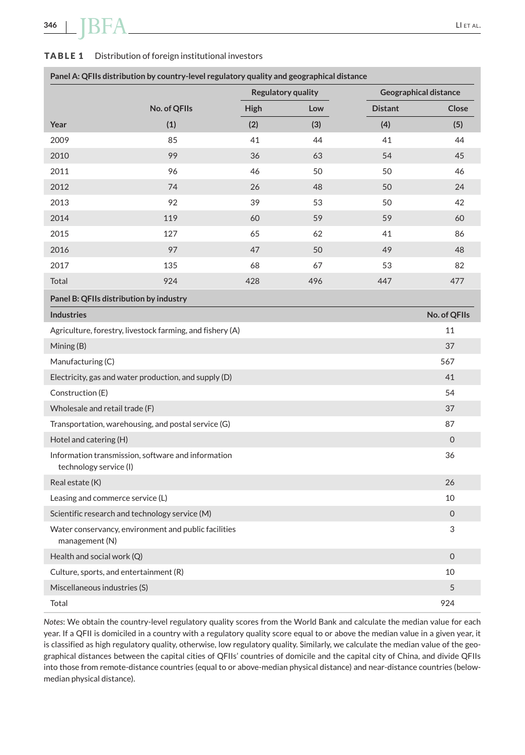#### <span id="page-8-0"></span>**TABLE 1** Distribution of foreign institutional investors

|                                         |                                                           |      | Regulatory quality |                | <b>Geographical distance</b> |
|-----------------------------------------|-----------------------------------------------------------|------|--------------------|----------------|------------------------------|
|                                         | No. of QFIIs                                              | High | Low                | <b>Distant</b> | Close                        |
| Year                                    | (1)                                                       | (2)  | (3)                | (4)            | (5)                          |
| 2009                                    | 85                                                        | 41   | 44                 | 41             | 44                           |
| 2010                                    | 99                                                        | 36   | 63                 | 54             | 45                           |
| 2011                                    | 96                                                        | 46   | 50                 | 50             | 46                           |
| 2012                                    | 74                                                        | 26   | 48                 | 50             | 24                           |
| 2013                                    | 92                                                        | 39   | 53                 | 50             | 42                           |
| 2014                                    | 119                                                       | 60   | 59                 | 59             | 60                           |
| 2015                                    | 127                                                       | 65   | 62                 | 41             | 86                           |
| 2016                                    | 97                                                        | 47   | 50                 | 49             | 48                           |
| 2017                                    | 135                                                       | 68   | 67                 | 53             | 82                           |
| Total                                   | 924                                                       | 428  | 496                | 447            | 477                          |
| Panel B: QFIIs distribution by industry |                                                           |      |                    |                |                              |
| <b>Industries</b>                       |                                                           |      |                    |                | No. of QFIIs                 |
|                                         | Agriculture, forestry, livestock farming, and fishery (A) |      |                    |                | 11                           |
| Mining (B)                              |                                                           |      |                    |                | 37                           |
| Manufacturing (C)                       |                                                           |      |                    |                | 567                          |
|                                         | Electricity, gas and water production, and supply (D)     |      |                    |                | 41                           |
| Construction (E)                        |                                                           |      |                    |                | 54                           |
| Wholesale and retail trade (F)          |                                                           |      |                    |                | 37                           |
|                                         | Transportation, warehousing, and postal service (G)       |      |                    |                | 87                           |
| Hotel and catering (H)                  |                                                           |      |                    |                | $\mathsf{O}\xspace$          |
| technology service (I)                  | Information transmission, software and information        |      |                    |                | 36                           |
| Real estate (K)                         |                                                           |      |                    |                | 26                           |
| Leasing and commerce service (L)        |                                                           |      |                    |                | 10                           |
|                                         | Scientific research and technology service (M)            |      |                    |                | $\mathsf{O}\xspace$          |
| management (N)                          | Water conservancy, environment and public facilities      |      |                    |                | 3                            |
| Health and social work (Q)              |                                                           |      |                    |                | $\overline{0}$               |
| Culture, sports, and entertainment (R)  |                                                           |      |                    |                | 10                           |
| Miscellaneous industries (S)            |                                                           |      |                    |                | 5                            |
| Total                                   |                                                           |      |                    |                | 924                          |

**Panel A: QFIIs distribution by country-level regulatory quality and geographical distance**

*Notes*: We obtain the country-level regulatory quality scores from the World Bank and calculate the median value for each year. If a QFII is domiciled in a country with a regulatory quality score equal to or above the median value in a given year, it is classified as high regulatory quality, otherwise, low regulatory quality. Similarly, we calculate the median value of the geographical distances between the capital cities of QFIIs' countries of domicile and the capital city of China, and divide QFIIs into those from remote-distance countries (equal to or above-median physical distance) and near-distance countries (belowmedian physical distance).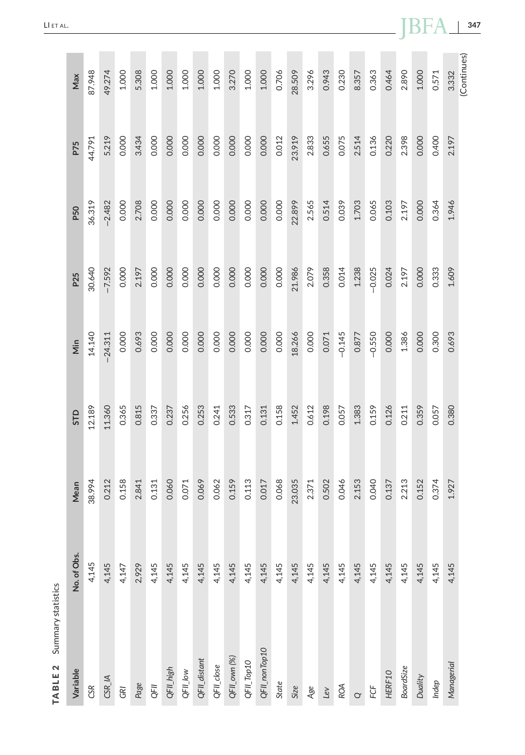<span id="page-9-0"></span>

| Max<br>P75  | 87.948<br>44.791 | 49.274<br>5.219                         | 1.000<br>0.000 | 5.308<br>3.434 | 1.000<br>0.000 | 1.000<br>0.000 | 1.000<br>0.000 | 1.000<br>0.000 | 1.000<br>0.000 | 3.270<br>0.000 | 1.000<br>0.000 | 1.000<br>0.000 | 0.706<br>0.012 | 28.509<br>23.919 | 3.296<br>2.833 | 0.943<br>0.655 | 0.230<br>0.075 | 8.357<br>2.514 | 0.363<br>0.136 | 0.464<br>0.220 | 2.890<br>2.398   | 1.000<br>0.000 |  |
|-------------|------------------|-----------------------------------------|----------------|----------------|----------------|----------------|----------------|----------------|----------------|----------------|----------------|----------------|----------------|------------------|----------------|----------------|----------------|----------------|----------------|----------------|------------------|----------------|--|
| P50         | 36.319           | $-2.482$                                | 0.000          | 2.708          | 0.000          | 0.000          | 0.000          | 0.000          | 0.000          | 0.000          | 0.000          | 0.000          | 0.000          | 22.899           | 2.565          | 0.514          | 0.039          | 1.703          | 0.065          | 0.103          | 2.197            | 0.000          |  |
| P25         | 30.640           | $-7.592$                                | 0.000          | 2.197          | 0.000          | 0.000          | 0.000          | 0.000          | 0.000          | 0.000          | 0.000          | 0.000          | 0.000          | 21.986           | 2.079          | 0.358          | 0.014          | 1.238          | $-0.025$       | 0.024          | 2.197            | 0.000          |  |
| Min         | 14.140           | $-24.311$                               | 0.000          | 0.693          | 0.000          | 0.000          | 0.000          | 0.000          | 0.000          | 0.000          | 0.000          | 0.000          | 0.000          | 18.266           | 0.000          | 0.071          | $-0.145$       | 0.877          | $-0.550$       | 0.000          | 1.386            | 0.000          |  |
| STD         | 12.189           | 11.360                                  | 0.365          | 0.815          | 0.337          | 0.237          | 0.256          | 0.253          | 0.241          | 0.533          | 0.317          | 0.131          | 0.158          | 1.452            | 0.612          | 0.198          | 0.057          | 1.383          | 0.159          | 0.126          | 0.211            | 0.359          |  |
| Mean        | 38.994           | 0.212                                   | 0.158          | 2.841          | 0.131          | 0.060          | 0.071          | 0.069          | 0.062          | 0.159          | 0.113          | 0.017          | 0.068          | 23.035           | 2.371          | 0.502          | 0.046          | 2.153          | 0.040          | 0.137          | 2.213            | 0.152          |  |
| No. of Obs. | 4,145            | 4,145                                   | 4,147          | 2,929          | 4,145          | 4,145          | 4,145          | 4,145          | 4,145          | 4,145          | 4,145          | 4,145          | 4,145          | 4,145            | 4,145          | 4,145          | 4,145          | 4,145          | 4,145          | 4,145          | 4,145            | 4,145          |  |
|             |                  |                                         |                |                |                |                |                |                |                |                |                |                |                |                  |                |                |                |                |                |                |                  |                |  |
| Variable    | CSR              | $CSR_{\!\!\!\!\!\!\!\perp} \mathsf{IA}$ | GRI            | Page           | QFII           | QFII_high      | QFII_Iow       | QFII_distant   | QFII_close     | QFII_own (%)   | QFII_Top10     | QFII_nonTop10  | State          | Size             | Age            | Lev            | ROA            | $\alpha$       | ECF            | HERF10         | <b>BoardSize</b> | Duality        |  |

**TABLE 2** Summary statistics

TABLE<sub>2</sub>

Summary statistics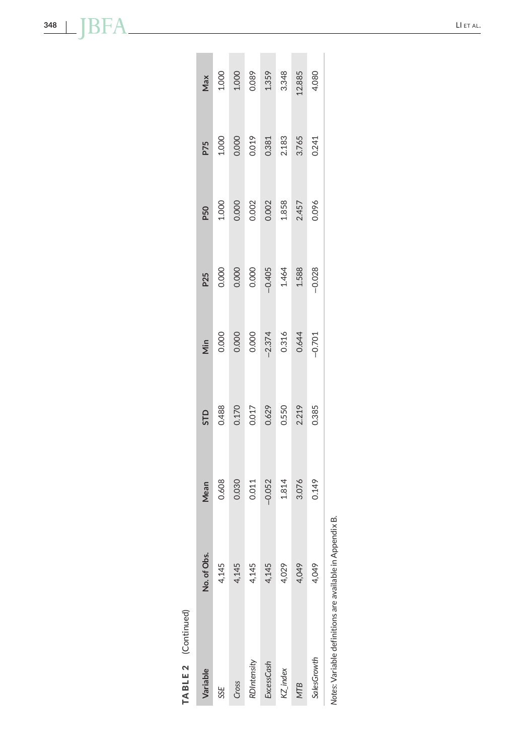| 4,029<br>4,049<br>4,049<br>4,145<br>4,145 |  | P50<br>P25<br>Mean<br>No. of Obs. | Max<br>1.000<br>1.000<br>1.359<br>1.359<br>1.348<br>1.348<br>1.080 | <b>P75</b><br>1.000<br>0.0013<br>0.381<br>0.241<br>3.765 | $1.000$<br>0.000 2<br>0.002 3.858<br>1.857<br>2.457 | $\begin{array}{c} 0.000 \\ 0.000 \\ 0.000 \\ -0.405 \\ 1.464 \\ 1.588 \\ -0.028 \end{array}$ | Min<br>0.000<br>0.000<br>0.000<br>0.374<br>0.344<br>0.644 | <b>STD</b><br>0.488<br>0.170<br>0.629<br>0.385<br>0.385 | 0.608<br>0.030<br>0.011<br>0.052<br>1.814<br>3.076 | 4,145<br>4,145 | SalesGrowth<br>RDIntensity<br>ExcessCash<br>Variable<br>KZ_index<br>Cross<br><b>MTB</b><br>SSE |
|-------------------------------------------|--|-----------------------------------|--------------------------------------------------------------------|----------------------------------------------------------|-----------------------------------------------------|----------------------------------------------------------------------------------------------|-----------------------------------------------------------|---------------------------------------------------------|----------------------------------------------------|----------------|------------------------------------------------------------------------------------------------|
|                                           |  |                                   |                                                                    |                                                          |                                                     |                                                                                              |                                                           |                                                         |                                                    |                |                                                                                                |

Notes: Variable definitions are available in Appendix B. *Notes*: Variable definitions are available in Appendix B.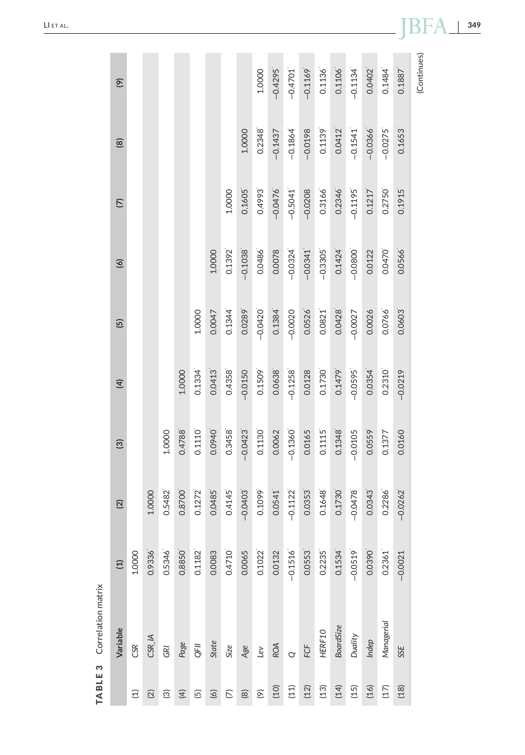<span id="page-11-0"></span>

| <b>TABLE 3</b> Correlation matrix |                  |                |                         |               |                |           |                            |                        |             |
|-----------------------------------|------------------|----------------|-------------------------|---------------|----------------|-----------|----------------------------|------------------------|-------------|
| Variable                          | $\left(1\right)$ | $\overline{2}$ | $\widehat{\mathcal{O}}$ | $\widehat{4}$ | $\overline{5}$ | $\circ$   | $\widehat{\triangleright}$ | $\circledR$            | $\circ$     |
| CSR                               | 1.0000           |                |                         |               |                |           |                            |                        |             |
| CSR_IA                            | 0.9336           | 1.0000         |                         |               |                |           |                            |                        |             |
| GRI                               | 0.5346           | 0.5482         | 1.0000                  |               |                |           |                            |                        |             |
| Page                              | 0.8850           | 0.8700         | 0.4788                  | 1.0000        |                |           |                            |                        |             |
| QFII                              | 0.1182           | 0.1272         | 0.1110                  | 0.1334        | 1.0000         |           |                            |                        |             |
| State                             | 0.0083           | 0.0485         | 0.0940                  | 0.0413        | 0.0047         | 1.0000    |                            |                        |             |
| Size                              | 0.4710           | 0.4145         | 0.3458                  | 0.4358        | 0.1344         | 0.1392    | 1.0000                     |                        |             |
| Age                               | 0.0065           | $-0.0403$      | $-0.0423$               | $-0.0150$     | 0.0289         | $-0.1038$ | 0.1605                     | 1.0000                 |             |
| LeV                               | 0.1022           | 0.1099         | 0.1130                  | 0.1509        | $-0.0420$      | 0.0486    | 0.4993                     | 0.2348                 | 1.0000      |
| <b>ROA</b>                        | 0.0132           | 0.0541         | 0.0062                  | 0.0638        | 0.1384         | 0.0078    | $-0.0476$                  | $-0.1437$              | $-0.4295$   |
| $\circ$                           | $-0.1516$        | $-0.1122$      | $-0.1360$               | $-0.1258$     | $-0.0020$      | $-0.0324$ | $-0.5041$                  | $-0.1864$              | $-0.4701$   |
| FCF                               | 0.0553           | 0.0353         | 0.0165                  | 0.0128        | 0.0526         | $-0.0341$ | $-0.0208$                  | $-0.0198$              | $-0.1169$   |
| HERF10                            | 0.2235           | 0.1648         | 0.1115                  | 0.1730        | 0.0821         | $-0.3305$ | 0.3166                     | 0.1139                 | 0.1136      |
| BoardSize                         | 0.1534           | 0.1730         | 0.1348                  | 0.1479        | 0.0428         | 0.1424    | 0.2346                     | 0.0412                 | 0.1106      |
| Duality                           | $-0.0519$        | $-0.0478$      | $-0.0105$               | $-0.0595$     | $-0.0027$      | $-0.0800$ | $-0.1195$                  | $-0.1541$ <sup>*</sup> | $-0.1134$   |
| Indep                             | 0.0390           | 0.0343         | 0.0559                  | 0.0354        | 0.0026         | 0.0122    | 0.1217                     | $-0.0366$              | 0.0402      |
| Managerial                        | 0.2361           | 0.2286         | 0.1377                  | 0.2310        | 0.0766         | 0.0470    | 0.2750                     | $-0.0275$              | 0.1484      |
| 5SE                               | $-0.0021$        | $-0.0262$      | 0.0160                  | $-0.0219$     | 0.0603         | 0.0566    | 0.1915                     | 0.1653                 | 0.1887      |
|                                   |                  |                |                         |               |                |           |                            |                        | (Continues) |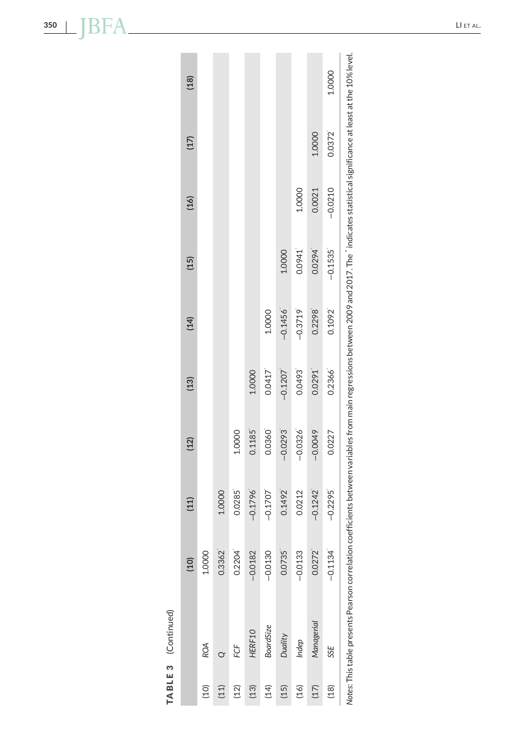| (18) |            |        |        |           |                  |           |           |            | 1.0000    |                                                                                                                                                                                              |
|------|------------|--------|--------|-----------|------------------|-----------|-----------|------------|-----------|----------------------------------------------------------------------------------------------------------------------------------------------------------------------------------------------|
|      |            |        |        |           |                  |           |           |            |           |                                                                                                                                                                                              |
| (17) |            |        |        |           |                  |           |           | 1.0000     | 0.0372    | Notes: This table presents Pearson correlation coefficients between variables from main regressions between 2009 and 2017. The "indicates statistical significance at least at the 10% level |
|      |            |        |        |           |                  |           |           |            |           |                                                                                                                                                                                              |
| (16) |            |        |        |           |                  |           | 1.0000    | 0.0021     | $-0.0210$ |                                                                                                                                                                                              |
|      |            |        |        |           |                  | 1.0000    | 0.0941    | 0.0294     |           |                                                                                                                                                                                              |
| (15) |            |        |        |           |                  |           |           |            | $-0.1535$ |                                                                                                                                                                                              |
| (14) |            |        |        |           | 1.0000           | $-0.1456$ | $-0.3719$ | 0.2298     | 0.1092    |                                                                                                                                                                                              |
|      |            |        |        |           |                  |           |           |            |           |                                                                                                                                                                                              |
| (13) |            |        |        | 1.0000    | 0.0417           | $-0.1207$ | 0.0493    | 0.0291     | 0.2366    |                                                                                                                                                                                              |
|      |            |        |        |           |                  |           |           |            |           |                                                                                                                                                                                              |
| (12) |            |        | 1.0000 | 0.1185    | 0.0360           | $-0.0293$ | $-0.0326$ | $-0.0049$  | 0.0227    |                                                                                                                                                                                              |
| (11) |            | 1.0000 | 0.0285 | $-0.1796$ | $-0.1707$        | 0.1492    | 0.0212    | $-0.1242$  | $-0.2295$ |                                                                                                                                                                                              |
|      |            |        |        |           |                  |           |           |            |           |                                                                                                                                                                                              |
| (10) | 1.0000     | 0.3362 | 0.2204 | $-0.0182$ | $-0.0130$        | 0.0735    | $-0.0133$ | 0.0272     | $-0.1134$ |                                                                                                                                                                                              |
|      |            |        |        |           |                  |           |           |            |           |                                                                                                                                                                                              |
|      |            |        |        | HERF10    | <b>BoardSize</b> | Duality   | Indep     | Managerial |           |                                                                                                                                                                                              |
|      | <b>ROA</b> |        | FCF    |           |                  |           |           |            | SSE       |                                                                                                                                                                                              |
|      | (10)       | (11)   | (12)   | (13)      | (14)             | (15)      | (16)      | (17)       | (18)      |                                                                                                                                                                                              |

**TABLE 3** (Continued)

TABLE 3 (Continued)

<span id="page-12-0"></span>**350** LI ET AL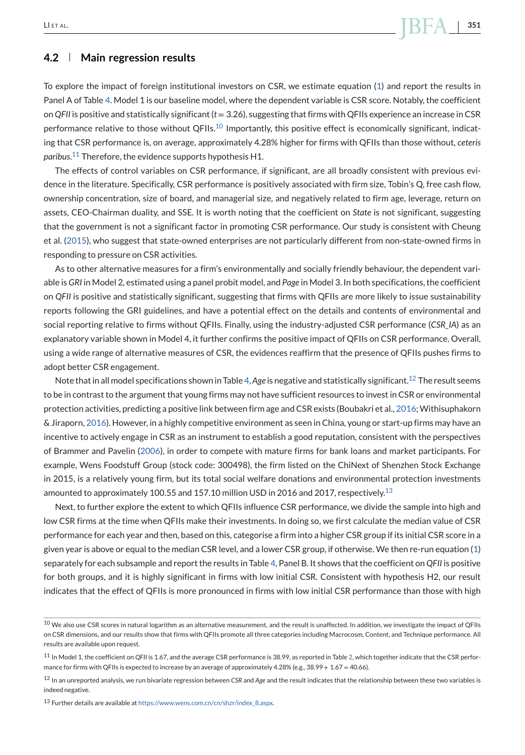# **4.2 Main regression results**

To explore the impact of foreign institutional investors on CSR, we estimate equation [\(1\)](#page-7-0) and report the results in Panel A of Table [4.](#page-14-0) Model 1 is our baseline model, where the dependent variable is CSR score. Notably, the coefficient on *QFII* is positive and statistically significant (*t* = 3.26), suggesting that firms with QFIIs experience an increase in CSR performance relative to those without QFIIs.<sup>10</sup> Importantly, this positive effect is economically significant, indicating that CSR performance is, on average, approximately 4.28% higher for firms with QFIIs than those without, *ceteris paribus*. <sup>11</sup> Therefore, the evidence supports hypothesis H1.

The effects of control variables on CSR performance, if significant, are all broadly consistent with previous evidence in the literature. Specifically, CSR performance is positively associated with firm size, Tobin's Q, free cash flow, ownership concentration, size of board, and managerial size, and negatively related to firm age, leverage, return on assets, CEO-Chairman duality, and SSE. It is worth noting that the coefficient on *State* is not significant, suggesting that the government is not a significant factor in promoting CSR performance. Our study is consistent with Cheung et al. [\(2015\)](#page-29-0), who suggest that state-owned enterprises are not particularly different from non-state-owned firms in responding to pressure on CSR activities.

As to other alternative measures for a firm's environmentally and socially friendly behaviour, the dependent variable is *GRI* in Model 2, estimated using a panel probit model, and *Page* in Model 3. In both specifications, the coefficient on *QFII* is positive and statistically significant, suggesting that firms with QFIIs are more likely to issue sustainability reports following the GRI guidelines, and have a potential effect on the details and contents of environmental and social reporting relative to firms without QFIIs. Finally, using the industry-adjusted CSR performance (*CSR\_IA*) as an explanatory variable shown in Model 4, it further confirms the positive impact of QFIIs on CSR performance. Overall, using a wide range of alternative measures of CSR, the evidences reaffirm that the presence of QFIIs pushes firms to adopt better CSR engagement.

Note that in all model specifications shown in Table [4,](#page-14-0) *Age* is negative and statistically significant.<sup>12</sup> The result seems to be in contrast to the argument that young firms may not have sufficient resources to invest in CSR or environmental protection activities, predicting a positive link between firm age and CSR exists (Boubakri et al., [2016;](#page-29-0) Withisuphakorn & Jiraporn, [2016\)](#page-31-0). However, in a highly competitive environment as seen in China, young or start-up firms may have an incentive to actively engage in CSR as an instrument to establish a good reputation, consistent with the perspectives of Brammer and Pavelin [\(2006\)](#page-29-0), in order to compete with mature firms for bank loans and market participants. For example, Wens Foodstuff Group (stock code: 300498), the firm listed on the ChiNext of Shenzhen Stock Exchange in 2015, is a relatively young firm, but its total social welfare donations and environmental protection investments amounted to approximately 100.55 and 157.10 million USD in 2016 and 2017, respectively.<sup>13</sup>

Next, to further explore the extent to which QFIIs influence CSR performance, we divide the sample into high and low CSR firms at the time when QFIIs make their investments. In doing so, we first calculate the median value of CSR performance for each year and then, based on this, categorise a firm into a higher CSR group if its initial CSR score in a given year is above or equal to the median CSR level, and a lower CSR group, if otherwise. We then re-run equation [\(1\)](#page-7-0) separately for each subsample and report the results in Table [4,](#page-14-0) Panel B. It shows that the coefficient on *QFII* is positive for both groups, and it is highly significant in firms with low initial CSR. Consistent with hypothesis H2, our result indicates that the effect of QFIIs is more pronounced in firms with low initial CSR performance than those with high

 $10$  We also use CSR scores in natural logarithm as an alternative measurement, and the result is unaffected. In addition, we investigate the impact of QFIIs on CSR dimensions, and our results show that firms with QFIIs promote all three categories including Macrocosm, Content, and Technique performance. All results are available upon request.

<sup>11</sup> In Model 1, the coefficient on *QFII* is 1.67, and the average CSR performance is 38.99, as reported in Table [2,](#page-9-0) which together indicate that the CSR performance for firms with QFIIs is expected to increase by an average of approximately 4.28% (e.g.,  $38.99 + 1.67 = 40.66$ ).

<sup>12</sup> In an unreported analysis, we run bivariate regression between *CSR* and *Age* and the result indicates that the relationship between these two variables is indeed negative.

<sup>13</sup> Further details are available at [https://www.wens.com.cn/cn/shzr/index\\_8.aspx.](https://www.wens.com.cn/cn/shzr/index_8.aspx)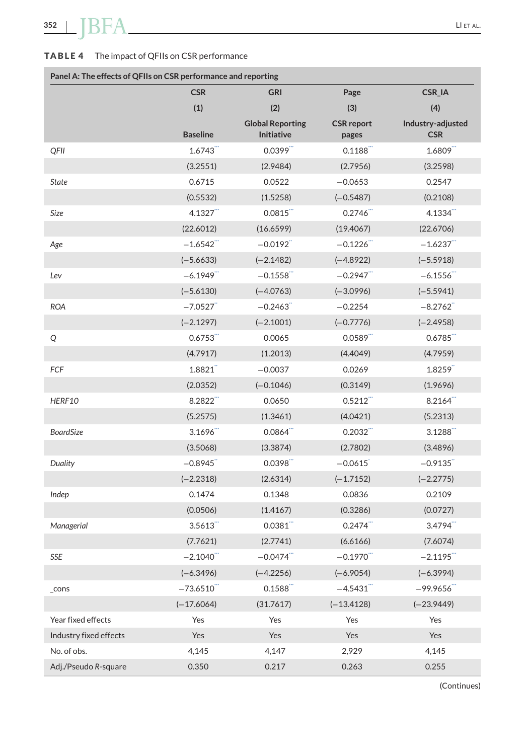# <span id="page-14-0"></span>**TABLE 4** The impact of QFIIs on CSR performance

| Panel A: The effects of QFIIs on CSR performance and reporting |                         |                                       |                            |                                 |
|----------------------------------------------------------------|-------------------------|---------------------------------------|----------------------------|---------------------------------|
|                                                                | <b>CSR</b>              | <b>GRI</b>                            | Page                       | CSR_IA                          |
|                                                                | (1)                     | (2)                                   | (3)                        | (4)                             |
|                                                                | <b>Baseline</b>         | <b>Global Reporting</b><br>Initiative | <b>CSR</b> report<br>pages | Industry-adjusted<br><b>CSR</b> |
| QFII                                                           | 1.6743                  | $0.0399$ <sup>""</sup>                | 0.1188                     | 1.6809                          |
|                                                                | (3.2551)                | (2.9484)                              | (2.7956)                   | (3.2598)                        |
| <b>State</b>                                                   | 0.6715                  | 0.0522                                | $-0.0653$                  | 0.2547                          |
|                                                                | (0.5532)                | (1.5258)                              | $(-0.5487)$                | (0.2108)                        |
| Size                                                           | 4.1327                  | 0.0815                                | 0.2746                     | 4.1334                          |
|                                                                | (22.6012)               | (16.6599)                             | (19.4067)                  | (22.6706)                       |
| Age                                                            | $-1.6542$               | $-0.0192$                             | $-0.1226$                  | $-1.6237$                       |
|                                                                | $(-5.6633)$             | $(-2.1482)$                           | $(-4.8922)$                | $(-5.5918)$                     |
| Lev                                                            | $-6.1949$               | $-0.1558$                             | $-0.2947$                  | $-6.1556$                       |
|                                                                | $(-5.6130)$             | $(-4.0763)$                           | $(-3.0996)$                | $(-5.5941)$                     |
| <b>ROA</b>                                                     | $-7.0527$               | $-0.2463$                             | $-0.2254$                  | $-8.2762$                       |
|                                                                | $(-2.1297)$             | $(-2.1001)$                           | $(-0.7776)$                | $(-2.4958)$                     |
| Q                                                              | 0.6753                  | 0.0065                                | 0.0589                     | 0.6785                          |
|                                                                | (4.7917)                | (1.2013)                              | (4.4049)                   | (4.7959)                        |
| FCF                                                            | 1.8821                  | $-0.0037$                             | 0.0269                     | 1.8259                          |
|                                                                | (2.0352)                | $(-0.1046)$                           | (0.3149)                   | (1.9696)                        |
| HERF10                                                         | 8.2822                  | 0.0650                                | 0.5212                     | 8.2164                          |
|                                                                | (5.2575)                | (1.3461)                              | (4.0421)                   | (5.2313)                        |
| <b>BoardSize</b>                                               | 3.1696                  | 0.0864                                | 0.2032                     | 3.1288                          |
|                                                                | (3.5068)                | (3.3874)                              | (2.7802)                   | (3.4896)                        |
| Duality                                                        | $-0.8945$               | 0.0398                                | $-0.0615$                  | $-0.9135$                       |
|                                                                | $(-2.2318)$             | (2.6314)                              | $(-1.7152)$                | $(-2.2775)$                     |
| Indep                                                          | 0.1474                  | 0.1348                                | 0.0836                     | 0.2109                          |
|                                                                | (0.0506)                | (1.4167)                              | (0.3286)                   | (0.0727)                        |
| Managerial                                                     | 3.5613                  | 0.0381                                | 0.2474                     | 3.4794                          |
|                                                                | (7.7621)                | (2.7741)                              | (6.6166)                   | (7.6074)                        |
| SSE                                                            | $-2.1040$ <sup>""</sup> | $-0.0474$                             | $-0.1970$                  | $-2.1195$                       |
|                                                                | $(-6.3496)$             | $(-4.2256)$                           | $(-6.9054)$                | $(-6.3994)$                     |
| _cons                                                          | $-73.6510$              | 0.1588                                | $-4.5431$                  | $-99.9656$ "                    |
|                                                                | $(-17.6064)$            | (31.7617)                             | $(-13.4128)$               | $(-23.9449)$                    |
| Year fixed effects                                             | Yes                     | Yes                                   | Yes                        | Yes                             |
| Industry fixed effects                                         | Yes                     | Yes                                   | Yes                        | Yes                             |
| No. of obs.                                                    | 4,145                   | 4,147                                 | 2,929                      | 4,145                           |
| Adj./Pseudo R-square                                           | 0.350                   | 0.217                                 | 0.263                      | 0.255                           |

(Continues)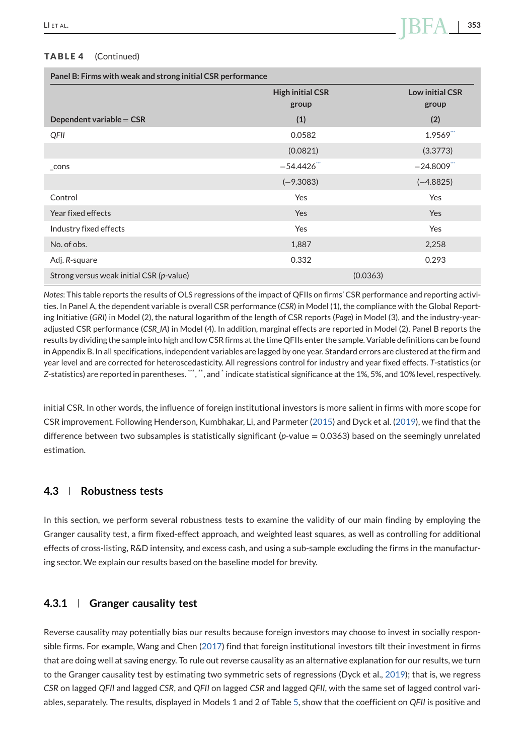#### <span id="page-15-0"></span>**TABLE 4** (Continued)

|                                          | <b>High initial CSR</b><br>group | <b>Low initial CSR</b><br>group |
|------------------------------------------|----------------------------------|---------------------------------|
| Dependent variable = $CSR$               | (1)                              | (2)                             |
| QFII                                     | 0.0582                           | 1.9569                          |
|                                          | (0.0821)                         | (3.3773)                        |
| $\_cons$                                 | $-54.4426$                       | $-24.8009$ <sup>""</sup>        |
|                                          | $(-9.3083)$                      | $(-4.8825)$                     |
| Control                                  | Yes                              | Yes                             |
| Year fixed effects                       | Yes                              | Yes                             |
| Industry fixed effects                   | Yes                              | Yes                             |
| No. of obs.                              | 1,887                            | 2,258                           |
| Adj. R-square                            | 0.332                            | 0.293                           |
| Strong versus weak initial CSR (p-value) |                                  | (0.0363)                        |

*Notes*: This table reports the results of OLS regressions of the impact of QFIIs on firms' CSR performance and reporting activities. In Panel A, the dependent variable is overall CSR performance (*CSR*) in Model (1), the compliance with the Global Reporting Initiative (*GRI*) in Model (2), the natural logarithm of the length of CSR reports (*Page*) in Model (3), and the industry-yearadjusted CSR performance (*CSR\_IA*) in Model (4). In addition, marginal effects are reported in Model (2). Panel B reports the results by dividing the sample into high and low CSR firms at the time QFIIs enter the sample. Variable definitions can be found in Appendix B. In all specifications, independent variables are lagged by one year. Standard errors are clustered at the firm and year level and are corrected for heteroscedasticity. All regressions control for industry and year fixed effects. *T*-statistics (or Z-statistics) are reported in parentheses. "\*, ", and \* indicate statistical significance at the 1%, 5%, and 10% level, respectively.

initial CSR. In other words, the influence of foreign institutional investors is more salient in firms with more scope for CSR improvement. Following Henderson, Kumbhakar, Li, and Parmeter [\(2015\)](#page-30-0) and Dyck et al. [\(2019\)](#page-29-0), we find that the difference between two subsamples is statistically significant (*p*-value = 0.0363) based on the seemingly unrelated estimation.

# **4.3 Robustness tests**

In this section, we perform several robustness tests to examine the validity of our main finding by employing the Granger causality test, a firm fixed-effect approach, and weighted least squares, as well as controlling for additional effects of cross-listing, R&D intensity, and excess cash, and using a sub-sample excluding the firms in the manufacturing sector. We explain our results based on the baseline model for brevity.

# **4.3.1 Granger causality test**

Reverse causality may potentially bias our results because foreign investors may choose to invest in socially responsible firms. For example, Wang and Chen [\(2017\)](#page-31-0) find that foreign institutional investors tilt their investment in firms that are doing well at saving energy. To rule out reverse causality as an alternative explanation for our results, we turn to the Granger causality test by estimating two symmetric sets of regressions (Dyck et al., [2019\)](#page-29-0); that is, we regress *CSR* on lagged *QFII* and lagged *CSR*, and *QFII* on lagged *CSR* and lagged *QFII*, with the same set of lagged control variables, separately. The results, displayed in Models 1 and 2 of Table [5,](#page-16-0) show that the coefficient on *QFII* is positive and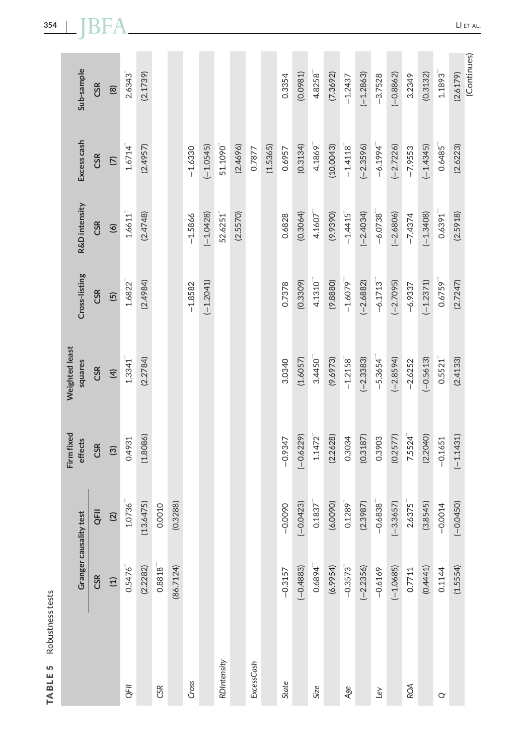| Sub-sample                | <b>CSR</b> | $\circledR$              | 2.6343                | (2.1739)  |           |           |           |             |             |          |            |          | 0.3354    | (0.0981)    | 4.8258                 | (7.3692)  | $-1.2437$              | $(-1.2863)$ | $-3.7528$ | $(-0.8862)$ | 3.2349    | (0.3132)    | $1.1893$ <sup>"</sup>  | (Continues)<br>(2.6179) |
|---------------------------|------------|--------------------------|-----------------------|-----------|-----------|-----------|-----------|-------------|-------------|----------|------------|----------|-----------|-------------|------------------------|-----------|------------------------|-------------|-----------|-------------|-----------|-------------|------------------------|-------------------------|
| Excess cash               | <b>CSR</b> | $\overline{C}$           | $1.6714$ <sup>"</sup> | (2.4957)  |           |           | $-1.6330$ | $(-1.0545)$ | 51.1090"    | (2.4696) | 0.7877     | (1.5365) | 0.6957    | (0.3134)    | 4.1869                 | (10.0043) | $-1.4118$              | $(-2.3596)$ | $-6.1994$ | $(-2.7226)$ | $-7.9553$ | $(-1.4345)$ | 0.6485                 | (2.6223)                |
| R&D intensity             | <b>CSR</b> | $\circ$                  | $1.6611$ <sup>"</sup> | (2.4748)  |           |           | $-1.5866$ | $(-1.0428)$ | 52.6251     | (2.5570) |            |          | 0.6828    | (0.3064)    | $4.1607$ <sup>""</sup> | (9.9390)  | $-1.4415$              | $(-2.4034)$ | $-6.0738$ | $(-2.6806)$ | $-7.4374$ | $(-1.3408)$ | $0.6391$ <sup>""</sup> | (2.5918)                |
| Cross-listing             | <b>CSR</b> | $\overline{5}$           | 1.6822                | (2.4984)  |           |           | $-1.8582$ | $(-1.2041)$ |             |          |            |          | 0.7378    | (0.3309)    | 4.1310                 | (9.8880)  | $-1.6079$              | $(-2.6882)$ | $-6.1713$ | $(-2.7095)$ | $-6.9337$ | $(-1.2371)$ | 0.6759                 | (2.7247)                |
| Weighted least<br>squares | <b>CSR</b> | $\overline{4}$           | 1.3341"               | (2.2784)  |           |           |           |             |             |          |            |          | 3.0340    | (1.6057)    | 3.4450                 | (9.6973)  | $-1.2158$              | $(-2.3383)$ | $-5.3654$ | $(-2.8594)$ | $-2.6252$ | $(-0.5613)$ | 0.5521"                | (2.4133)                |
| Firm fixed<br>effects     | CSR        | $\widehat{\mathfrak{S}}$ | 0.4931                | (1.8086)  |           |           |           |             |             |          |            |          | $-0.9347$ | $(-0.6229)$ | $1.1472$ <sup>"</sup>  | (2.2628)  | 0.3034                 | (0.3187)    | 0.3903    | (0.2577)    | 7.5524    | (2.2040)    | $-0.1651$              | $(-1.1431)$             |
| Granger causality test    | QFII       | $(2)$                    | 1.0736                | (13.6475) | 0.0010    | (0.3288)  |           |             |             |          |            |          | $-0.0090$ | $(-0.0423)$ | $0.1837$ <sup>*</sup>  | (6.0090)  | $0.1289$ <sup>"</sup>  | (2.3987)    | $-0.6838$ | $(-3.3657)$ | 2.6375    | (3.8545)    | $-0.0014$              | $(-0.0450)$             |
|                           | <b>CSR</b> | $\Xi$                    | 0.5476                | (2.2282)  | 0.8818''' | (86.7124) |           |             |             |          |            |          | $-0.3157$ | $(-0.4883)$ | 0.6894                 | (6.9954)  | $-0.3573$ <sup>"</sup> | $(-2.2356)$ | $-0.6169$ | $(-1.0685)$ | 0.7711    | (0.4441)    | 0.1144                 | (1.5554)                |
|                           |            |                          | QFII                  |           | CSR       |           | Cross     |             | RDIntensity |          | ExcessCash |          | State     |             | Size                   |           | Age                    |             | Lev       |             | ROA       |             | $\alpha$               |                         |

<span id="page-16-0"></span>**354** LI ET AL

**TABLE 5** Robustness tests

TABLE 5 Robustness tests

LI ET AL.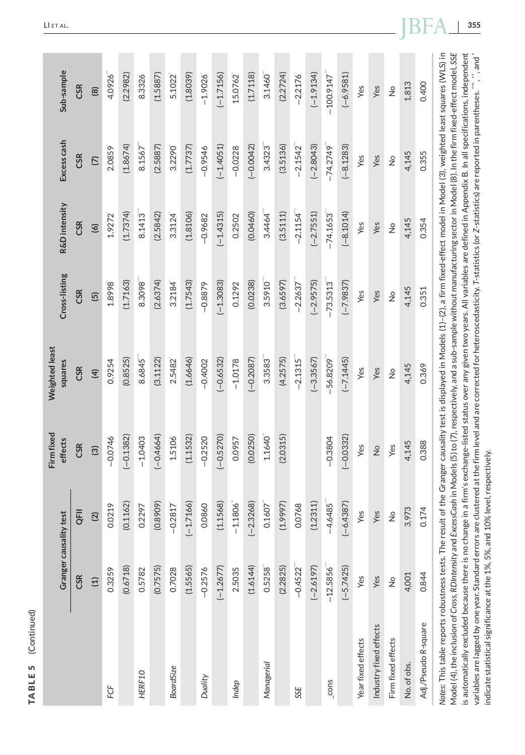<span id="page-17-0"></span>

|                                                                                                                                                                                                                                                                                                                                                                                                                                                                                                                                                                                                                                                     | Granger causality test |               | Firm fixed<br>effects | Weighted least<br>squares                                                                                                                      | Cross-listing  | R&D intensity  | Excess cash    | Sub-sample                     |
|-----------------------------------------------------------------------------------------------------------------------------------------------------------------------------------------------------------------------------------------------------------------------------------------------------------------------------------------------------------------------------------------------------------------------------------------------------------------------------------------------------------------------------------------------------------------------------------------------------------------------------------------------------|------------------------|---------------|-----------------------|------------------------------------------------------------------------------------------------------------------------------------------------|----------------|----------------|----------------|--------------------------------|
|                                                                                                                                                                                                                                                                                                                                                                                                                                                                                                                                                                                                                                                     | CSR                    | QFII          | <b>CSR</b>            | <b>CSR</b>                                                                                                                                     | CSR            | <b>CSR</b>     | <b>CSR</b>     | <b>CSR</b>                     |
|                                                                                                                                                                                                                                                                                                                                                                                                                                                                                                                                                                                                                                                     | $\Xi$                  | (2)           | $\circled3$           | $\overline{4}$                                                                                                                                 | $\overline{5}$ | $\overline{6}$ | $\overline{C}$ | $\circledR$                    |
| FCF                                                                                                                                                                                                                                                                                                                                                                                                                                                                                                                                                                                                                                                 | 0.3259                 | 0.0219        | $-0.0746$             | 0.9254                                                                                                                                         | 1.8998         | 1.9272         | 2.0859         | 4.0926                         |
|                                                                                                                                                                                                                                                                                                                                                                                                                                                                                                                                                                                                                                                     | (0.6718)               | (0.1162)      | $(-0.1382)$           | (0.8525)                                                                                                                                       | (1.7163)       | (1.7374)       | (1.8674)       | (2.2982)                       |
| HERF10                                                                                                                                                                                                                                                                                                                                                                                                                                                                                                                                                                                                                                              | 0.5782                 | 0.2297        | $-1.0403$             | 8.6845                                                                                                                                         | 8.3098         | 8.1413         | 8.1567         | 8.3326                         |
|                                                                                                                                                                                                                                                                                                                                                                                                                                                                                                                                                                                                                                                     | (0.7575)               | (0.8909)      | $(-0.4664)$           | (3.1122)                                                                                                                                       | (2.6374)       | (2.5842)       | (2.5887)       | (1.5887)                       |
| <b>BoardSize</b>                                                                                                                                                                                                                                                                                                                                                                                                                                                                                                                                                                                                                                    | 0.7028                 | $-0.2817$     | 1.5106                | 2.5482                                                                                                                                         | 3.2184         | 3.3124         | 3.2290         | 5.1022                         |
|                                                                                                                                                                                                                                                                                                                                                                                                                                                                                                                                                                                                                                                     | (1.5565)               | $(-1.7166)$   | (1.1532)              | (1.6646)                                                                                                                                       | (1.7543)       | (1.8106)       | (1.7737)       | (1.8039)                       |
| Duality                                                                                                                                                                                                                                                                                                                                                                                                                                                                                                                                                                                                                                             | $-0.2576$              | 0.0860        | $-0.2520$             | $-0.4002$                                                                                                                                      | $-0.8879$      | $-0.9682$      | $-0.9546$      | $-1.9026$                      |
|                                                                                                                                                                                                                                                                                                                                                                                                                                                                                                                                                                                                                                                     | $(-1.2677)$            | (1.1568)      | $(-0.5270)$           | $(-0.6532)$                                                                                                                                    | $(-1.3083)$    | $(-1.4315)$    | $(-1.4051)$    | $(-1.7156)$                    |
| Indep                                                                                                                                                                                                                                                                                                                                                                                                                                                                                                                                                                                                                                               | 2.5035                 | $-1.1806$     | 0.0957                | $-1.0178$                                                                                                                                      | 0.1292         | 0.2502         | $-0.0228$      | 15.0762                        |
|                                                                                                                                                                                                                                                                                                                                                                                                                                                                                                                                                                                                                                                     | (1.6144)               | $(-2.3268)$   | (0.0250)              | $(-0.2087)$                                                                                                                                    | (0.0238)       | (0.0460)       | $(-0.0042)$    | (1.7118)                       |
| Managerial                                                                                                                                                                                                                                                                                                                                                                                                                                                                                                                                                                                                                                          | 0.5258                 | 0.1607        | 1.1640                | 3.3583                                                                                                                                         | 3.5910         | 3.4464         | 3.4323         | 3.1460                         |
|                                                                                                                                                                                                                                                                                                                                                                                                                                                                                                                                                                                                                                                     | (2.2825)               | (1.9997)      | (2.0315)              | (4.2575)                                                                                                                                       | (3.6597)       | (3.5111)       | (3.5136)       | (2.2724)                       |
| SSE                                                                                                                                                                                                                                                                                                                                                                                                                                                                                                                                                                                                                                                 | $-0.4522$              | 0.0768        |                       | $-2.1315$                                                                                                                                      | $-2.2637$      | $-2.1154$      | $-2.1542$      | $-2.2176$                      |
|                                                                                                                                                                                                                                                                                                                                                                                                                                                                                                                                                                                                                                                     | $(-2.6197)$            | (1.2311)      |                       | $(-3.3567)$                                                                                                                                    | $(-2.9575)$    | $(-2.7551)$    | $(-2.8043)$    | $(-1.9134)$                    |
| cons                                                                                                                                                                                                                                                                                                                                                                                                                                                                                                                                                                                                                                                | $-12.5856$             | $-4.6485$     | $-0.3804$             | 56.8209                                                                                                                                        | $-73.5313$     | $-74.1653$     | $-74.2749$     | $-100.9147$                    |
|                                                                                                                                                                                                                                                                                                                                                                                                                                                                                                                                                                                                                                                     | $(-5.7425)$            | $(-6.4387)$   | $(-0.0332)$           | $(-7.1445)$                                                                                                                                    | $(-7.9837)$    | $(-8.1014)$    | $(-8.1283)$    | $(-6.9581)$                    |
| Year fixed effects                                                                                                                                                                                                                                                                                                                                                                                                                                                                                                                                                                                                                                  | Yes                    | Yes           | Yes                   | Yes                                                                                                                                            | Yes            | Yes            | Yes            | Yes                            |
| Industry fixed effects                                                                                                                                                                                                                                                                                                                                                                                                                                                                                                                                                                                                                              | Yes                    | Yes           | $\frac{1}{2}$         | Yes                                                                                                                                            | Yes            | Yes            | Yes            | Yes                            |
| Firm fixed effects                                                                                                                                                                                                                                                                                                                                                                                                                                                                                                                                                                                                                                  | $\frac{1}{2}$          | $\frac{1}{2}$ | Yes                   | $\frac{1}{2}$                                                                                                                                  | $\frac{1}{2}$  | $\frac{1}{2}$  | $\frac{1}{2}$  | $\frac{1}{2}$                  |
| No. of obs.                                                                                                                                                                                                                                                                                                                                                                                                                                                                                                                                                                                                                                         | 4,001                  | 3,973         | 4,145                 | 4,145                                                                                                                                          | 4,145          | 4,145          | 4,145          | 1,813                          |
| Adj./Pseudo R-square                                                                                                                                                                                                                                                                                                                                                                                                                                                                                                                                                                                                                                | 0.844                  | 0.174         | 0.388                 | 0.369                                                                                                                                          | 0.351          | 0.354          | 0.355          | 0.400                          |
| Notes: This table reports robustness tests. The result of the Granger causality test is displayed in Models (1)-(2), a firm fixed-effect model in Model (3), weighted least squares (WLS) in<br>is automatically excluded because there is no change in a firm's exchange-listed status over any given two years. All variables are defined in Appendix B. In all specifications, independent<br>variables are lagged by one year. Standard errors are clustered at the firm level and are corrected for heteroscedasticity. T-statistics (or Z-statistics) are reported in parentheses. ",",<br>Model (4), the inclusion of Cross, RDIntensity and |                        |               |                       | ExcessCash in Models (5) to (7), respectively, and a sub-sample without manufacturing sector in Model (8). In the firm fixed-effect model, SSE |                |                |                | , and $\overline{\phantom{a}}$ |

**TABLE 5** (Continued)

TABLE 5 (Continued)

indicate statistical significance at the 1%, 5%, and 10% level, respectively.

indicate statistical significance at the 1%, 5%, and 10% level, respectively.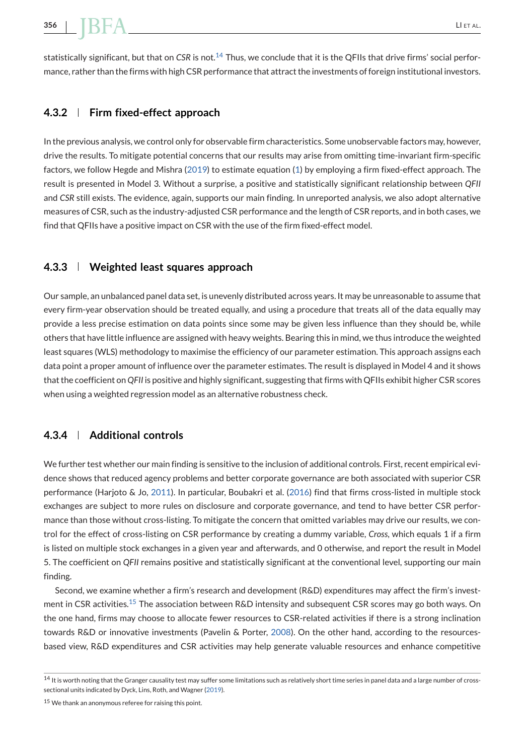# **356 | II ET AL. ET AL. ET AL. ET AL. ET AL. ET AL.** ET AL. ET AL. ET AL. ET AL.

statistically significant, but that on *CSR* is not.<sup>14</sup> Thus, we conclude that it is the QFIIs that drive firms' social performance, rather than the firms with high CSR performance that attract the investments of foreign institutional investors.

# **4.3.2 Firm fixed-effect approach**

In the previous analysis, we control only for observable firm characteristics. Some unobservable factors may, however, drive the results. To mitigate potential concerns that our results may arise from omitting time-invariant firm-specific factors, we follow Hegde and Mishra [\(2019\)](#page-30-0) to estimate equation [\(1\)](#page-7-0) by employing a firm fixed-effect approach. The result is presented in Model 3. Without a surprise, a positive and statistically significant relationship between *QFII* and *CSR* still exists. The evidence, again, supports our main finding. In unreported analysis, we also adopt alternative measures of CSR, such as the industry-adjusted CSR performance and the length of CSR reports, and in both cases, we find that QFIIs have a positive impact on CSR with the use of the firm fixed-effect model.

# **4.3.3 Weighted least squares approach**

Our sample, an unbalanced panel data set, is unevenly distributed across years. It may be unreasonable to assume that every firm-year observation should be treated equally, and using a procedure that treats all of the data equally may provide a less precise estimation on data points since some may be given less influence than they should be, while others that have little influence are assigned with heavy weights. Bearing this in mind, we thus introduce the weighted least squares (WLS) methodology to maximise the efficiency of our parameter estimation. This approach assigns each data point a proper amount of influence over the parameter estimates. The result is displayed in Model 4 and it shows that the coefficient on *QFII* is positive and highly significant, suggesting that firms with QFIIs exhibit higher CSR scores when using a weighted regression model as an alternative robustness check.

# **4.3.4 Additional controls**

We further test whether our main finding is sensitive to the inclusion of additional controls. First, recent empirical evidence shows that reduced agency problems and better corporate governance are both associated with superior CSR performance (Harjoto & Jo, [2011\)](#page-30-0). In particular, Boubakri et al. [\(2016\)](#page-29-0) find that firms cross-listed in multiple stock exchanges are subject to more rules on disclosure and corporate governance, and tend to have better CSR performance than those without cross-listing. To mitigate the concern that omitted variables may drive our results, we control for the effect of cross-listing on CSR performance by creating a dummy variable, *Cross*, which equals 1 if a firm is listed on multiple stock exchanges in a given year and afterwards, and 0 otherwise, and report the result in Model 5. The coefficient on *QFII* remains positive and statistically significant at the conventional level, supporting our main finding.

Second, we examine whether a firm's research and development (R&D) expenditures may affect the firm's investment in CSR activities.<sup>15</sup> The association between R&D intensity and subsequent CSR scores may go both ways. On the one hand, firms may choose to allocate fewer resources to CSR-related activities if there is a strong inclination towards R&D or innovative investments (Pavelin & Porter, [2008\)](#page-31-0). On the other hand, according to the resourcesbased view, R&D expenditures and CSR activities may help generate valuable resources and enhance competitive

<sup>&</sup>lt;sup>14</sup> It is worth noting that the Granger causality test may suffer some limitations such as relatively short time series in panel data and a large number of crosssectional units indicated by Dyck, Lins, Roth, and Wagner [\(2019\)](#page-29-0).

<sup>15</sup> We thank an anonymous referee for raising this point.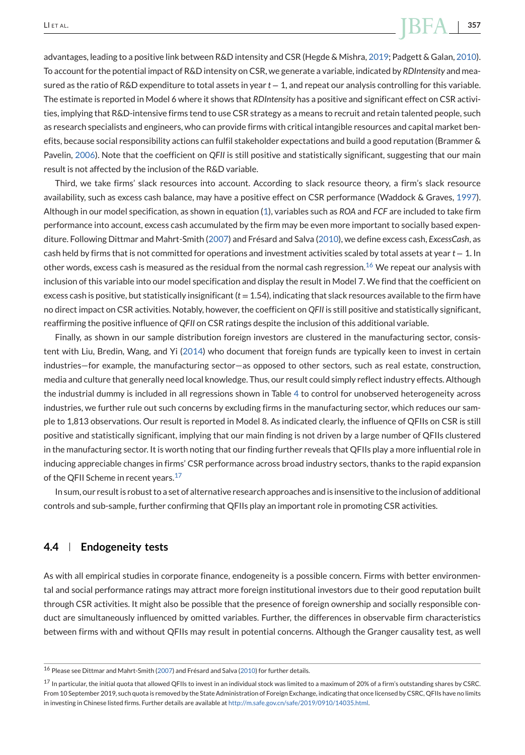# LI ET AL. **357**

advantages, leading to a positive link between R&D intensity and CSR (Hegde & Mishra, [2019;](#page-30-0) Padgett & Galan, [2010\)](#page-31-0). To account for the potential impact of R&D intensity on CSR, we generate a variable, indicated by *RDIntensity* and measured as the ratio of R&D expenditure to total assets in year *t* − 1, and repeat our analysis controlling for this variable. The estimate is reported in Model 6 where it shows that *RDIntensity* has a positive and significant effect on CSR activities, implying that R&D-intensive firms tend to use CSR strategy as a means to recruit and retain talented people, such as research specialists and engineers, who can provide firms with critical intangible resources and capital market benefits, because social responsibility actions can fulfil stakeholder expectations and build a good reputation (Brammer & Pavelin, [2006\)](#page-29-0). Note that the coefficient on *QFII* is still positive and statistically significant, suggesting that our main result is not affected by the inclusion of the R&D variable.

Third, we take firms' slack resources into account. According to slack resource theory, a firm's slack resource availability, such as excess cash balance, may have a positive effect on CSR performance (Waddock & Graves, [1997\)](#page-31-0). Although in our model specification, as shown in equation [\(1\)](#page-7-0), variables such as *ROA* and *FCF* are included to take firm performance into account, excess cash accumulated by the firm may be even more important to socially based expenditure. Following Dittmar and Mahrt-Smith [\(2007\)](#page-29-0) and Frésard and Salva [\(2010\)](#page-29-0), we define excess cash, *ExcessCash*, as cash held by firms that is not committed for operations and investment activities scaled by total assets at year *t* − 1. In other words, excess cash is measured as the residual from the normal cash regression.<sup>16</sup> We repeat our analysis with inclusion of this variable into our model specification and display the result in Model 7. We find that the coefficient on excess cash is positive, but statistically insignificant  $(t = 1.54)$ , indicating that slack resources available to the firm have no direct impact on CSR activities. Notably, however, the coefficient on *QFII* is still positive and statistically significant, reaffirming the positive influence of *QFII* on CSR ratings despite the inclusion of this additional variable.

Finally, as shown in our sample distribution foreign investors are clustered in the manufacturing sector, consistent with Liu, Bredin, Wang, and Yi [\(2014\)](#page-30-0) who document that foreign funds are typically keen to invest in certain industries—for example, the manufacturing sector—as opposed to other sectors, such as real estate, construction, media and culture that generally need local knowledge. Thus, our result could simply reflect industry effects. Although the industrial dummy is included in all regressions shown in Table [4](#page-14-0) to control for unobserved heterogeneity across industries, we further rule out such concerns by excluding firms in the manufacturing sector, which reduces our sample to 1,813 observations. Our result is reported in Model 8. As indicated clearly, the influence of QFIIs on CSR is still positive and statistically significant, implying that our main finding is not driven by a large number of QFIIs clustered in the manufacturing sector. It is worth noting that our finding further reveals that QFIIs play a more influential role in inducing appreciable changes in firms' CSR performance across broad industry sectors, thanks to the rapid expansion of the QFII Scheme in recent years.<sup>17</sup>

In sum, our result is robust to a set of alternative research approaches and is insensitive to the inclusion of additional controls and sub-sample, further confirming that QFIIs play an important role in promoting CSR activities.

# **4.4 Endogeneity tests**

As with all empirical studies in corporate finance, endogeneity is a possible concern. Firms with better environmental and social performance ratings may attract more foreign institutional investors due to their good reputation built through CSR activities. It might also be possible that the presence of foreign ownership and socially responsible conduct are simultaneously influenced by omitted variables. Further, the differences in observable firm characteristics between firms with and without QFIIs may result in potential concerns. Although the Granger causality test, as well

<sup>16</sup> Please see Dittmar and Mahrt-Smith [\(2007\)](#page-29-0) and Frésard and Salva [\(2010\)](#page-29-0) for further details.

<sup>17</sup> In particular, the initial quota that allowed QFIIs to invest in an individual stock was limited to a maximum of 20% of a firm's outstanding shares by CSRC. From 10 September 2019, such quota is removed by the State Administration of Foreign Exchange, indicating that once licensed by CSRC, QFIIs have no limits in investing in Chinese listed firms. Further details are available at [http://m.safe.gov.cn/safe/2019/0910/14035.html.](http://m.safe.gov.cn/safe/2019/0910/14035.html)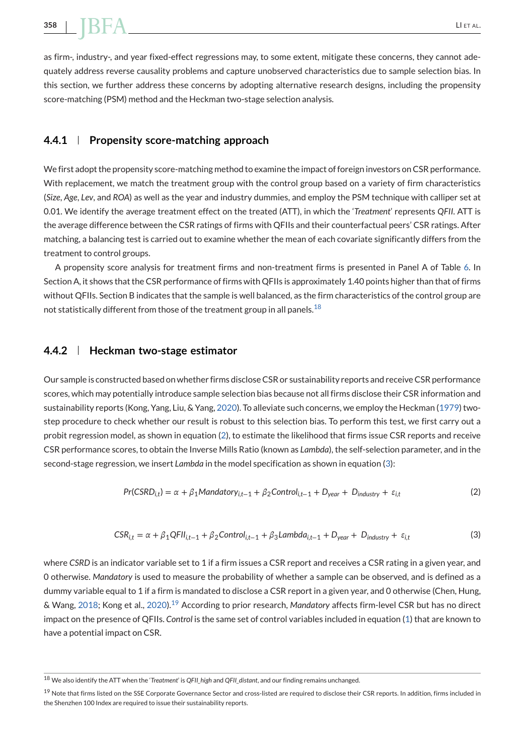<span id="page-20-0"></span>as firm-, industry-, and year fixed-effect regressions may, to some extent, mitigate these concerns, they cannot adequately address reverse causality problems and capture unobserved characteristics due to sample selection bias. In this section, we further address these concerns by adopting alternative research designs, including the propensity score-matching (PSM) method and the Heckman two-stage selection analysis.

### **4.4.1 Propensity score-matching approach**

We first adopt the propensity score-matching method to examine the impact of foreign investors on CSR performance. With replacement, we match the treatment group with the control group based on a variety of firm characteristics (*Size*, *Age*, *Lev*, and *ROA*) as well as the year and industry dummies, and employ the PSM technique with calliper set at 0.01. We identify the average treatment effect on the treated (ATT), in which the '*Treatment*' represents *QFII*. ATT is the average difference between the CSR ratings of firms with QFIIs and their counterfactual peers' CSR ratings. After matching, a balancing test is carried out to examine whether the mean of each covariate significantly differs from the treatment to control groups.

A propensity score analysis for treatment firms and non-treatment firms is presented in Panel A of Table [6.](#page-21-0) In Section A, it shows that the CSR performance of firms with QFIIs is approximately 1.40 points higher than that of firms without QFIIs. Section B indicates that the sample is well balanced, as the firm characteristics of the control group are not statistically different from those of the treatment group in all panels.<sup>18</sup>

#### **4.4.2 Heckman two-stage estimator**

Our sample is constructed based on whether firms disclose CSR or sustainability reports and receive CSR performance scores, which may potentially introduce sample selection bias because not all firms disclose their CSR information and sustainability reports (Kong, Yang, Liu, & Yang, [2020\)](#page-30-0). To alleviate such concerns, we employ the Heckman [\(1979\)](#page-30-0) twostep procedure to check whether our result is robust to this selection bias. To perform this test, we first carry out a probit regression model, as shown in equation (2), to estimate the likelihood that firms issue CSR reports and receive CSR performance scores, to obtain the Inverse Mills Ratio (known as *Lambda*), the self-selection parameter, and in the second-stage regression, we insert *Lambda* in the model specification as shown in equation (3):

$$
Pr(CSRD_{i,t}) = \alpha + \beta_1 Mandatory_{i,t-1} + \beta_2Control_{i,t-1} + D_{year} + D_{industry} + \varepsilon_{i,t}
$$
 (2)

$$
CSR_{i,t} = \alpha + \beta_1 QFI_{i,t-1} + \beta_2 Control_{i,t-1} + \beta_3 Lambda_{i,t-1} + D_{year} + D_{industry} + \varepsilon_{i,t}
$$
\n(3)

where *CSRD* is an indicator variable set to 1 if a firm issues a CSR report and receives a CSR rating in a given year, and 0 otherwise. *Mandatory* is used to measure the probability of whether a sample can be observed, and is defined as a dummy variable equal to 1 if a firm is mandated to disclose a CSR report in a given year, and 0 otherwise (Chen, Hung, & Wang, [2018;](#page-29-0) Kong et al., [2020\)](#page-30-0).<sup>19</sup> According to prior research, *Mandatory* affects firm-level CSR but has no direct impact on the presence of QFIIs. *Control* is the same set of control variables included in equation [\(1\)](#page-7-0) that are known to have a potential impact on CSR.

<sup>18</sup> We also identify the ATT when the '*Treatment*' is *QFII\_high* and *QFII\_distant*, and our finding remains unchanged.

 $19$  Note that firms listed on the SSE Corporate Governance Sector and cross-listed are required to disclose their CSR reports. In addition, firms included in the Shenzhen 100 Index are required to issue their sustainability reports.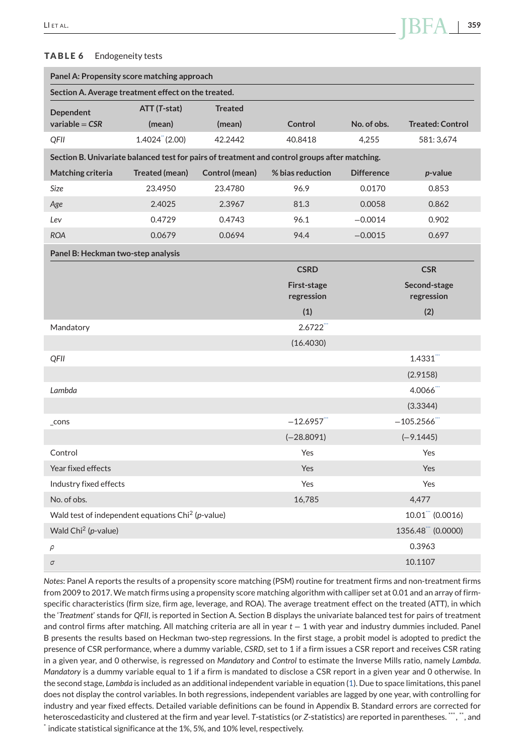#### <span id="page-21-0"></span>**TABLE 6** Endogeneity tests

| Panel A: Propensity score matching approach                                                   |                                |                |                           |                   |                            |
|-----------------------------------------------------------------------------------------------|--------------------------------|----------------|---------------------------|-------------------|----------------------------|
| Section A. Average treatment effect on the treated.                                           |                                |                |                           |                   |                            |
| Dependent                                                                                     | ATT (T-stat)                   | <b>Treated</b> |                           |                   |                            |
| variable = $CSR$                                                                              | (mean)                         | (mean)         | Control                   | No. of obs.       | <b>Treated: Control</b>    |
| QFII                                                                                          | $1.4024$ <sup>"</sup> $(2.00)$ | 42.2442        | 40.8418                   | 4,255             | 581: 3,674                 |
| Section B. Univariate balanced test for pairs of treatment and control groups after matching. |                                |                |                           |                   |                            |
| Matching criteria                                                                             | Treated (mean)                 | Control (mean) | % bias reduction          | <b>Difference</b> | <i>p</i> -value            |
| <b>Size</b>                                                                                   | 23.4950                        | 23.4780        | 96.9                      | 0.0170            | 0.853                      |
| Age                                                                                           | 2.4025                         | 2.3967         | 81.3                      | 0.0058            | 0.862                      |
| Lev                                                                                           | 0.4729                         | 0.4743         | 96.1                      | $-0.0014$         | 0.902                      |
| <b>ROA</b>                                                                                    | 0.0679                         | 0.0694         | 94.4                      | $-0.0015$         | 0.697                      |
| Panel B: Heckman two-step analysis                                                            |                                |                |                           |                   |                            |
|                                                                                               |                                |                | <b>CSRD</b>               |                   | <b>CSR</b>                 |
|                                                                                               |                                |                | First-stage<br>regression |                   | Second-stage<br>regression |
|                                                                                               |                                |                | (1)                       |                   | (2)                        |
| Mandatory                                                                                     |                                |                | 2.6722                    |                   |                            |
|                                                                                               |                                |                | (16.4030)                 |                   |                            |
| QFII                                                                                          |                                |                |                           |                   | 1.4331                     |
|                                                                                               |                                |                |                           |                   | (2.9158)                   |
| Lambda                                                                                        |                                |                |                           |                   | $4.0066$ <sup>"</sup>      |
|                                                                                               |                                |                |                           |                   | (3.3344)                   |
| $_{\text{-} \text{cons}}$                                                                     |                                |                | $-12.6957$                |                   | $-105.2566$                |
|                                                                                               |                                |                | $(-28.8091)$              |                   | $(-9.1445)$                |
| Control                                                                                       |                                |                | Yes                       |                   | Yes                        |
| Year fixed effects                                                                            |                                |                | Yes                       |                   | Yes                        |
| Industry fixed effects                                                                        |                                |                | Yes                       |                   | Yes                        |
| No. of obs.                                                                                   |                                |                | 16,785                    |                   | 4,477                      |
| Wald test of independent equations Chi <sup>2</sup> (p-value)                                 |                                |                |                           |                   | $10.01$ (0.0016)           |
| Wald $Chi2$ ( <i>p</i> -value)                                                                |                                |                |                           |                   | 1356.48 (0.0000)           |
| $\rho$                                                                                        |                                |                |                           |                   | 0.3963                     |
| $\sigma$                                                                                      |                                |                |                           |                   | 10.1107                    |

*Notes*: Panel A reports the results of a propensity score matching (PSM) routine for treatment firms and non-treatment firms from 2009 to 2017. We match firms using a propensity score matching algorithm with calliper set at 0.01 and an array of firmspecific characteristics (firm size, firm age, leverage, and ROA). The average treatment effect on the treated (ATT), in which the '*Treatment*' stands for *QFII*, is reported in Section A. Section B displays the univariate balanced test for pairs of treatment and control firms after matching. All matching criteria are all in year *t* − 1 with year and industry dummies included. Panel B presents the results based on Heckman two-step regressions. In the first stage, a probit model is adopted to predict the presence of CSR performance, where a dummy variable, *CSRD*, set to 1 if a firm issues a CSR report and receives CSR rating in a given year, and 0 otherwise, is regressed on *Mandatory* and *Control* to estimate the Inverse Mills ratio, namely *Lambda*. *Mandatory* is a dummy variable equal to 1 if a firm is mandated to disclose a CSR report in a given year and 0 otherwise. In the second stage, *Lambda* is included as an additional independent variable in equation [\(1\)](#page-7-0). Due to space limitations, this panel does not display the control variables. In both regressions, independent variables are lagged by one year, with controlling for industry and year fixed effects. Detailed variable definitions can be found in Appendix B. Standard errors are corrected for heteroscedasticity and clustered at the firm and year level. T-statistics (or Z-statistics) are reported in parentheses.  $\ddot{...}$ , and \* indicate statistical significance at the 1%, 5%, and 10% level, respectively.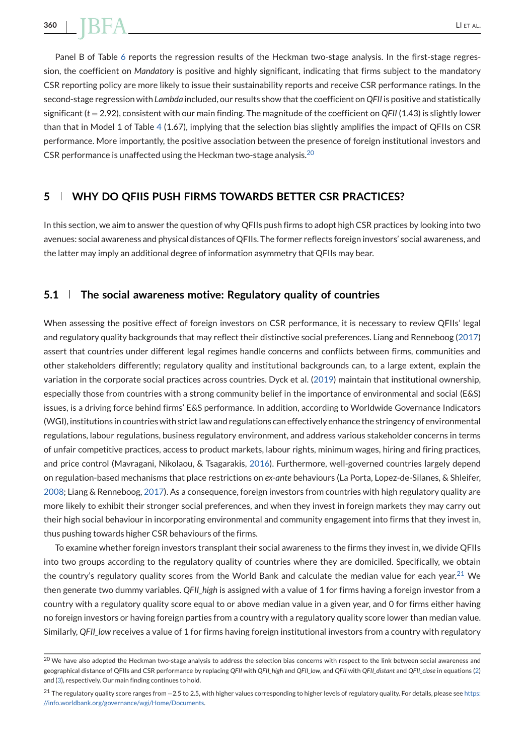<span id="page-22-0"></span>Panel B of Table [6](#page-21-0) reports the regression results of the Heckman two-stage analysis. In the first-stage regression, the coefficient on *Mandatory* is positive and highly significant, indicating that firms subject to the mandatory CSR reporting policy are more likely to issue their sustainability reports and receive CSR performance ratings. In the second-stage regression with *Lambda* included, our results show that the coefficient on *QFII* is positive and statistically significant (*t* = 2.92), consistent with our main finding. The magnitude of the coefficient on *QFII* (1.43) is slightly lower than that in Model 1 of Table [4](#page-14-0) (1.67), implying that the selection bias slightly amplifies the impact of QFIIs on CSR performance. More importantly, the positive association between the presence of foreign institutional investors and CSR performance is unaffected using the Heckman two-stage analysis. $^{20}$ 

# **5 WHY DO QFIIS PUSH FIRMS TOWARDS BETTER CSR PRACTICES?**

In this section, we aim to answer the question of why QFIIs push firms to adopt high CSR practices by looking into two avenues: social awareness and physical distances of QFIIs. The former reflects foreign investors' social awareness, and the latter may imply an additional degree of information asymmetry that QFIIs may bear.

### **5.1 The social awareness motive: Regulatory quality of countries**

When assessing the positive effect of foreign investors on CSR performance, it is necessary to review OFIIs' legal and regulatory quality backgrounds that may reflect their distinctive social preferences. Liang and Renneboog [\(2017\)](#page-30-0) assert that countries under different legal regimes handle concerns and conflicts between firms, communities and other stakeholders differently; regulatory quality and institutional backgrounds can, to a large extent, explain the variation in the corporate social practices across countries. Dyck et al. [\(2019\)](#page-29-0) maintain that institutional ownership, especially those from countries with a strong community belief in the importance of environmental and social (E&S) issues, is a driving force behind firms' E&S performance. In addition, according to Worldwide Governance Indicators (WGI), institutions in countries with strict law and regulations can effectively enhance the stringency of environmental regulations, labour regulations, business regulatory environment, and address various stakeholder concerns in terms of unfair competitive practices, access to product markets, labour rights, minimum wages, hiring and firing practices, and price control (Mavragani, Nikolaou, & Tsagarakis, [2016\)](#page-31-0). Furthermore, well-governed countries largely depend on regulation-based mechanisms that place restrictions on *ex-ante* behaviours (La Porta, Lopez-de-Silanes, & Shleifer, [2008;](#page-30-0) Liang & Renneboog, [2017\)](#page-30-0). As a consequence, foreign investors from countries with high regulatory quality are more likely to exhibit their stronger social preferences, and when they invest in foreign markets they may carry out their high social behaviour in incorporating environmental and community engagement into firms that they invest in, thus pushing towards higher CSR behaviours of the firms.

To examine whether foreign investors transplant their social awareness to the firms they invest in, we divide QFIIs into two groups according to the regulatory quality of countries where they are domiciled. Specifically, we obtain the country's regulatory quality scores from the World Bank and calculate the median value for each year.<sup>21</sup> We then generate two dummy variables. *QFII\_high* is assigned with a value of 1 for firms having a foreign investor from a country with a regulatory quality score equal to or above median value in a given year, and 0 for firms either having no foreign investors or having foreign parties from a country with a regulatory quality score lower than median value. Similarly, QFII low receives a value of 1 for firms having foreign institutional investors from a country with regulatory

 $^{20}$  We have also adopted the Heckman two-stage analysis to address the selection bias concerns with respect to the link between social awareness and geographical distance of QFIIs and CSR performance by replacing *QFII* with *QFII\_high* and *QFII\_low*, and *QFII* with *QFII\_distant* and *QFII\_close* in equations [\(2\)](#page-20-0) and [\(3\)](#page-20-0), respectively. Our main finding continues to hold.

<sup>21</sup> The regulatory quality score ranges from −2.5 to 2.5, with higher values corresponding to higher levels of regulatory quality. For details, please see [https:](https://info.worldbank.org/governance/wgi/Home/Documents) [//info.worldbank.org/governance/wgi/Home/Documents.](https://info.worldbank.org/governance/wgi/Home/Documents)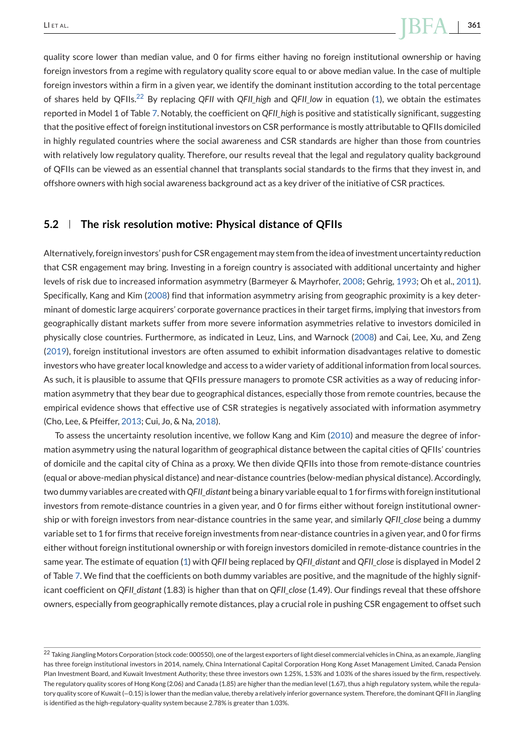quality score lower than median value, and 0 for firms either having no foreign institutional ownership or having foreign investors from a regime with regulatory quality score equal to or above median value. In the case of multiple foreign investors within a firm in a given year, we identify the dominant institution according to the total percentage of shares held by QFIIs.<sup>22</sup> By replacing *QFII* with *QFII\_high* and *QFII\_low* in equation [\(1\)](#page-7-0), we obtain the estimates reported in Model 1 of Table [7.](#page-24-0) Notably, the coefficient on *QFII* high is positive and statistically significant, suggesting that the positive effect of foreign institutional investors on CSR performance is mostly attributable to QFIIs domiciled in highly regulated countries where the social awareness and CSR standards are higher than those from countries with relatively low regulatory quality. Therefore, our results reveal that the legal and regulatory quality background of QFIIs can be viewed as an essential channel that transplants social standards to the firms that they invest in, and offshore owners with high social awareness background act as a key driver of the initiative of CSR practices.

### **5.2 The risk resolution motive: Physical distance of QFIIs**

Alternatively, foreign investors' push for CSR engagement may stem from the idea of investment uncertainty reduction that CSR engagement may bring. Investing in a foreign country is associated with additional uncertainty and higher levels of risk due to increased information asymmetry (Barmeyer & Mayrhofer, [2008;](#page-28-0) Gehrig, [1993;](#page-29-0) Oh et al., [2011\)](#page-31-0). Specifically, Kang and Kim [\(2008\)](#page-30-0) find that information asymmetry arising from geographic proximity is a key determinant of domestic large acquirers' corporate governance practices in their target firms, implying that investors from geographically distant markets suffer from more severe information asymmetries relative to investors domiciled in physically close countries. Furthermore, as indicated in Leuz, Lins, and Warnock [\(2008\)](#page-30-0) and Cai, Lee, Xu, and Zeng [\(2019\)](#page-29-0), foreign institutional investors are often assumed to exhibit information disadvantages relative to domestic investors who have greater local knowledge and access to a wider variety of additional information from local sources. As such, it is plausible to assume that QFIIs pressure managers to promote CSR activities as a way of reducing information asymmetry that they bear due to geographical distances, especially those from remote countries, because the empirical evidence shows that effective use of CSR strategies is negatively associated with information asymmetry (Cho, Lee, & Pfeiffer, [2013;](#page-29-0) Cui, Jo, & Na, [2018\)](#page-29-0).

To assess the uncertainty resolution incentive, we follow Kang and Kim [\(2010\)](#page-30-0) and measure the degree of information asymmetry using the natural logarithm of geographical distance between the capital cities of QFIIs' countries of domicile and the capital city of China as a proxy. We then divide QFIIs into those from remote-distance countries (equal or above-median physical distance) and near-distance countries (below-median physical distance). Accordingly, two dummy variables are created with *QFII\_distant* being a binary variable equal to 1 for firms with foreign institutional investors from remote-distance countries in a given year, and 0 for firms either without foreign institutional ownership or with foreign investors from near-distance countries in the same year, and similarly *QFII\_close* being a dummy variable set to 1 for firms that receive foreign investments from near-distance countries in a given year, and 0 for firms either without foreign institutional ownership or with foreign investors domiciled in remote-distance countries in the same year. The estimate of equation [\(1\)](#page-7-0) with *QFII* being replaced by *QFII\_distant* and *QFII\_close* is displayed in Model 2 of Table [7.](#page-24-0) We find that the coefficients on both dummy variables are positive, and the magnitude of the highly significant coefficient on *QFII\_distant* (1.83) is higher than that on *QFII\_close* (1.49). Our findings reveal that these offshore owners, especially from geographically remote distances, play a crucial role in pushing CSR engagement to offset such

<sup>&</sup>lt;sup>22</sup> Taking Jiangling Motors Corporation (stock code: 000550), one of the largest exporters of light diesel commercial vehicles in China, as an example, Jiangling has three foreign institutional investors in 2014, namely, China International Capital Corporation Hong Kong Asset Management Limited, Canada Pension Plan Investment Board, and Kuwait Investment Authority; these three investors own 1.25%, 1.53% and 1.03% of the shares issued by the firm, respectively. The regulatory quality scores of Hong Kong (2.06) and Canada (1.85) are higher than the median level (1.67), thus a high regulatory system, while the regulatory quality score of Kuwait (−0.15) is lower than the median value, thereby a relatively inferior governance system. Therefore, the dominant QFII in Jiangling is identified as the high-regulatory-quality system because 2.78% is greater than 1.03%.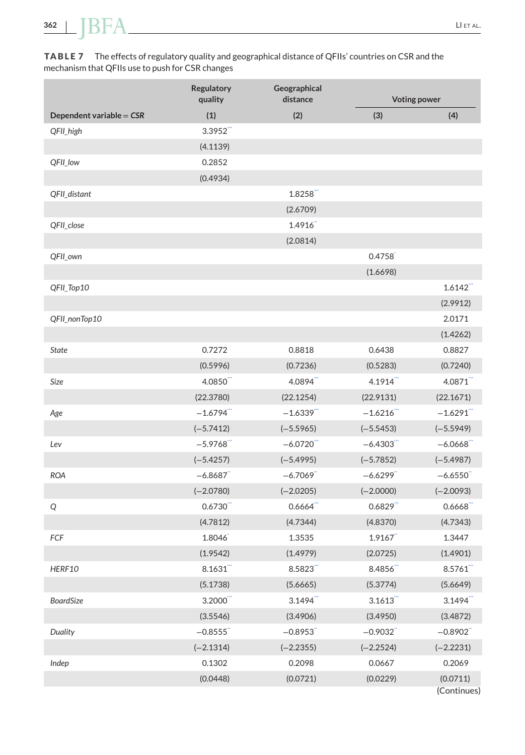<span id="page-24-0"></span>**TABLE 7** The effects of regulatory quality and geographical distance of QFIIs' countries on CSR and the mechanism that QFIIs use to push for CSR changes

|                            | <b>Regulatory</b><br>quality | Geographical<br>distance | <b>Voting power</b> |                         |
|----------------------------|------------------------------|--------------------------|---------------------|-------------------------|
| Dependent variable = $CSR$ | (1)                          | (2)                      | (3)                 | (4)                     |
| QFII_high                  | 3.3952                       |                          |                     |                         |
|                            | (4.1139)                     |                          |                     |                         |
| QFII_low                   | 0.2852                       |                          |                     |                         |
|                            | (0.4934)                     |                          |                     |                         |
| QFII_distant               |                              | 1.8258                   |                     |                         |
|                            |                              | (2.6709)                 |                     |                         |
| QFII_close                 |                              | 1.4916                   |                     |                         |
|                            |                              | (2.0814)                 |                     |                         |
| QFII_own                   |                              |                          | 0.4758              |                         |
|                            |                              |                          | (1.6698)            |                         |
| QFII_Top10                 |                              |                          |                     | 1.6142                  |
|                            |                              |                          |                     | (2.9912)                |
| QFII_nonTop10              |                              |                          |                     | 2.0171                  |
|                            |                              |                          |                     | (1.4262)                |
| <b>State</b>               | 0.7272                       | 0.8818                   | 0.6438              | 0.8827                  |
|                            | (0.5996)                     | (0.7236)                 | (0.5283)            | (0.7240)                |
| Size                       | 4.0850                       | 4.0894                   | 4.1914              | 4.0871                  |
|                            | (22.3780)                    | (22.1254)                | (22.9131)           | (22.1671)               |
| Age                        | $-1.6794$ <sup>"</sup>       | $-1.6339$                | $-1.6216$           | $-1.6291$               |
|                            | $(-5.7412)$                  | $(-5.5965)$              | $(-5.5453)$         | $(-5.5949)$             |
| Lev                        | $-5.9768$                    | $-6.0720$                | $-6.4303$           | $-6.0668$               |
|                            | $(-5.4257)$                  | $(-5.4995)$              | $(-5.7852)$         | $(-5.4987)$             |
| <b>ROA</b>                 | $-6.8687$                    | $-6.7069$                | $-6.6299$           | $-6.6550$               |
|                            | $(-2.0780)$                  | $(-2.0205)$              | $(-2.0000)$         | $(-2.0093)$             |
| Q                          | 0.6730                       | $0.6664$ <sup>""</sup>   | 0.6829              | 0.6668                  |
|                            | (4.7812)                     | (4.7344)                 | (4.8370)            | (4.7343)                |
| FCF                        | 1.8046                       | 1.3535                   | 1.9167              | 1.3447                  |
|                            | (1.9542)                     | (1.4979)                 | (2.0725)            | (1.4901)                |
| HERF10                     | 8.1631                       | 8.5823                   | 8.4856              | 8.5761                  |
|                            | (5.1738)                     | (5.6665)                 | (5.3774)            | (5.6649)                |
| <b>BoardSize</b>           | 3.2000                       | 3.1494                   | 3.1613              | $3.1494$ <sup>"</sup>   |
|                            | (3.5546)                     | (3.4906)                 | (3.4950)            | (3.4872)                |
| Duality                    | $-0.8555$                    | $-0.8953$                | $-0.9032$           | $-0.8902$               |
|                            | $(-2.1314)$                  | $(-2.2355)$              | $(-2.2524)$         | $(-2.2231)$             |
| Indep                      | 0.1302                       | 0.2098                   | 0.0667              | 0.2069                  |
|                            | (0.0448)                     | (0.0721)                 | (0.0229)            | (0.0711)<br>(Continues) |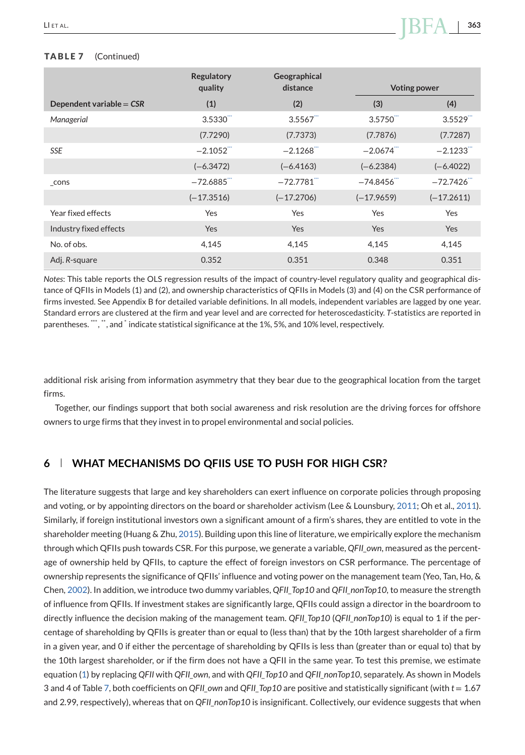#### <span id="page-25-0"></span>**TABLE 7** (Continued)

|                            | <b>Regulatory</b><br>quality | Geographical<br>distance | <b>Voting power</b>     |              |
|----------------------------|------------------------------|--------------------------|-------------------------|--------------|
| Dependent variable = $CSR$ | (1)                          | (2)                      | (3)                     | (4)          |
| Managerial                 | 3.5330                       | 3.5567                   | 3.5750                  | 3.5529       |
|                            | (7.7290)                     | (7.7373)                 | (7.7876)                | (7.7287)     |
| <b>SSE</b>                 | $-2.1052$                    | $-2.1268$                | $-2.0674$ <sup>""</sup> | $-2.1233$    |
|                            | $(-6.3472)$                  | $(-6.4163)$              | $(-6.2384)$             | $(-6.4022)$  |
| cons                       | $-72.6885$                   | $-72.7781$ <sup>""</sup> | $-74.8456$              | $-72.7426$   |
|                            | $(-17.3516)$                 | $(-17.2706)$             | $(-17.9659)$            | $(-17.2611)$ |
| Year fixed effects         | Yes                          | Yes                      | Yes                     | Yes          |
| Industry fixed effects     | <b>Yes</b>                   | Yes                      | Yes                     | <b>Yes</b>   |
| No. of obs.                | 4,145                        | 4,145                    | 4,145                   | 4,145        |
| Adj. R-square              | 0.352                        | 0.351                    | 0.348                   | 0.351        |

*Notes*: This table reports the OLS regression results of the impact of country-level regulatory quality and geographical distance of QFIIs in Models (1) and (2), and ownership characteristics of QFIIs in Models (3) and (4) on the CSR performance of firms invested. See Appendix B for detailed variable definitions. In all models, independent variables are lagged by one year. Standard errors are clustered at the firm and year level and are corrected for heteroscedasticity. *T*-statistics are reported in parentheses. "\*, ", and \* indicate statistical significance at the 1%, 5%, and 10% level, respectively.

additional risk arising from information asymmetry that they bear due to the geographical location from the target firms.

Together, our findings support that both social awareness and risk resolution are the driving forces for offshore owners to urge firms that they invest in to propel environmental and social policies.

# **6 WHAT MECHANISMS DO QFIIS USE TO PUSH FOR HIGH CSR?**

The literature suggests that large and key shareholders can exert influence on corporate policies through proposing and voting, or by appointing directors on the board or shareholder activism (Lee & Lounsbury, [2011;](#page-30-0) Oh et al., [2011\)](#page-31-0). Similarly, if foreign institutional investors own a significant amount of a firm's shares, they are entitled to vote in the shareholder meeting (Huang & Zhu, [2015\)](#page-30-0). Building upon this line of literature, we empirically explore the mechanism through which QFIIs push towards CSR. For this purpose, we generate a variable, *QFII\_own*, measured as the percentage of ownership held by QFIIs, to capture the effect of foreign investors on CSR performance. The percentage of ownership represents the significance of QFIIs' influence and voting power on the management team (Yeo, Tan, Ho, & Chen, [2002\)](#page-31-0). In addition, we introduce two dummy variables, *QFII\_Top10* and *QFII\_nonTop10*, to measure the strength of influence from QFIIs. If investment stakes are significantly large, QFIIs could assign a director in the boardroom to directly influence the decision making of the management team. *QFII\_Top10* (*QFII\_nonTop10*) is equal to 1 if the percentage of shareholding by QFIIs is greater than or equal to (less than) that by the 10th largest shareholder of a firm in a given year, and 0 if either the percentage of shareholding by QFIIs is less than (greater than or equal to) that by the 10th largest shareholder, or if the firm does not have a QFII in the same year. To test this premise, we estimate equation [\(1\)](#page-7-0) by replacing *QFII* with *QFII\_own*, and with *QFII\_Top10* and *QFII\_nonTop10*, separately. As shown in Models 3 and 4 of Table [7,](#page-24-0) both coefficients on *QFII\_own* and *QFII\_Top10* are positive and statistically significant (with *t* = 1.67 and 2.99, respectively), whereas that on *QFII\_nonTop10* is insignificant. Collectively, our evidence suggests that when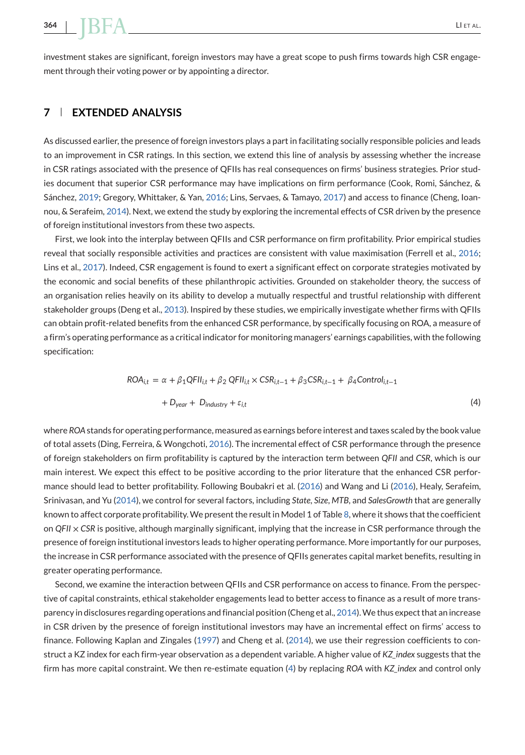<span id="page-26-0"></span>investment stakes are significant, foreign investors may have a great scope to push firms towards high CSR engagement through their voting power or by appointing a director.

# **7 EXTENDED ANALYSIS**

As discussed earlier, the presence of foreign investors plays a part in facilitating socially responsible policies and leads to an improvement in CSR ratings. In this section, we extend this line of analysis by assessing whether the increase in CSR ratings associated with the presence of QFIIs has real consequences on firms' business strategies. Prior studies document that superior CSR performance may have implications on firm performance (Cook, Romi, Sánchez, & Sánchez, [2019;](#page-29-0) Gregory, Whittaker, & Yan, [2016;](#page-30-0) Lins, Servaes, & Tamayo, [2017\)](#page-30-0) and access to finance (Cheng, Ioannou, & Serafeim, [2014\)](#page-29-0). Next, we extend the study by exploring the incremental effects of CSR driven by the presence of foreign institutional investors from these two aspects.

First, we look into the interplay between QFIIs and CSR performance on firm profitability. Prior empirical studies reveal that socially responsible activities and practices are consistent with value maximisation (Ferrell et al., [2016;](#page-29-0) Lins et al., [2017\)](#page-30-0). Indeed, CSR engagement is found to exert a significant effect on corporate strategies motivated by the economic and social benefits of these philanthropic activities. Grounded on stakeholder theory, the success of an organisation relies heavily on its ability to develop a mutually respectful and trustful relationship with different stakeholder groups (Deng et al., [2013\)](#page-29-0). Inspired by these studies, we empirically investigate whether firms with QFIIs can obtain profit-related benefits from the enhanced CSR performance, by specifically focusing on ROA, a measure of a firm's operating performance as a critical indicator for monitoring managers' earnings capabilities, with the following specification:

$$
ROA_{i,t} = \alpha + \beta_1 QFII_{i,t} + \beta_2 QFII_{i,t} \times CSR_{i,t-1} + \beta_3 CSR_{i,t-1} + \beta_4 Control_{i,t-1}
$$
  
+ 
$$
D_{year} + D_{industry} + \varepsilon_{i,t}
$$
 (4)

where *ROA*stands for operating performance, measured as earnings before interest and taxes scaled by the book value of total assets (Ding, Ferreira, & Wongchoti, [2016\)](#page-29-0). The incremental effect of CSR performance through the presence of foreign stakeholders on firm profitability is captured by the interaction term between *QFII* and *CSR*, which is our main interest. We expect this effect to be positive according to the prior literature that the enhanced CSR performance should lead to better profitability. Following Boubakri et al. [\(2016\)](#page-29-0) and Wang and Li [\(2016\)](#page-31-0), Healy, Serafeim, Srinivasan, and Yu [\(2014\)](#page-30-0), we control for several factors, including *State*, *Size*, *MTB*, and *SalesGrowth* that are generally known to affect corporate profitability.We present the result in Model 1 of Table [8,](#page-27-0) where it shows that the coefficient on *QFII* × *CSR* is positive, although marginally significant, implying that the increase in CSR performance through the presence of foreign institutional investors leads to higher operating performance. More importantly for our purposes, the increase in CSR performance associated with the presence of QFIIs generates capital market benefits, resulting in greater operating performance.

Second, we examine the interaction between QFIIs and CSR performance on access to finance. From the perspective of capital constraints, ethical stakeholder engagements lead to better access to finance as a result of more transparency in disclosures regarding operations and financial position (Cheng et al., [2014\)](#page-29-0).We thus expect that an increase in CSR driven by the presence of foreign institutional investors may have an incremental effect on firms' access to finance. Following Kaplan and Zingales [\(1997\)](#page-30-0) and Cheng et al. [\(2014\)](#page-29-0), we use their regression coefficients to construct a KZ index for each firm-year observation as a dependent variable. A higher value of *KZ\_index* suggests that the firm has more capital constraint. We then re-estimate equation (4) by replacing *ROA* with *KZ\_index* and control only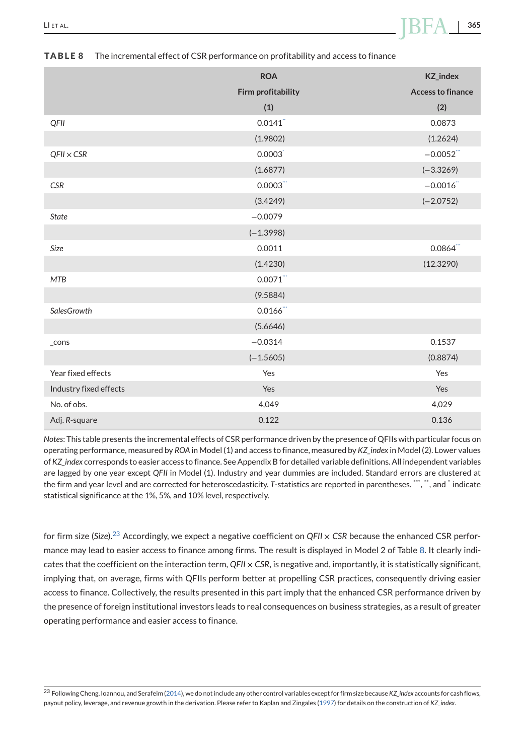|                        | <b>ROA</b>             | <b>KZ_index</b>          |
|------------------------|------------------------|--------------------------|
|                        | Firm profitability     | <b>Access to finance</b> |
|                        | (1)                    | (2)                      |
| QFII                   | 0.0141                 | 0.0873                   |
|                        | (1.9802)               | (1.2624)                 |
| $QFI \times CSR$       | 0.0003                 | $-0.0052$                |
|                        | (1.6877)               | $(-3.3269)$              |
| <b>CSR</b>             | 0.0003                 | $-0.0016$                |
|                        | (3.4249)               | $(-2.0752)$              |
| <b>State</b>           | $-0.0079$              |                          |
|                        | $(-1.3998)$            |                          |
| Size                   | 0.0011                 | $0.0864$ "               |
|                        | (1.4230)               | (12.3290)                |
| <b>MTB</b>             | 0.0071                 |                          |
|                        | (9.5884)               |                          |
| SalesGrowth            | $0.0166$ <sup>""</sup> |                          |
|                        | (5.6646)               |                          |
| _cons                  | $-0.0314$              | 0.1537                   |
|                        | $(-1.5605)$            | (0.8874)                 |
| Year fixed effects     | Yes                    | Yes                      |
| Industry fixed effects | Yes                    | Yes                      |
| No. of obs.            | 4,049                  | 4,029                    |
| Adj. R-square          | 0.122                  | 0.136                    |

#### <span id="page-27-0"></span>**TABLE 8** The incremental effect of CSR performance on profitability and access to finance

*Notes*: This table presents the incremental effects of CSR performance driven by the presence of QFIIs with particular focus on operating performance, measured by *ROA* in Model (1) and access to finance, measured by *KZ\_index* in Model (2). Lower values of *KZ\_index* corresponds to easier access to finance. See Appendix B for detailed variable definitions. All independent variables are lagged by one year except *QFII* in Model (1). Industry and year dummies are included. Standard errors are clustered at the firm and year level and are corrected for heteroscedasticity. T-statistics are reported in parentheses. "", ", and  $*$  indicate statistical significance at the 1%, 5%, and 10% level, respectively.

for firm size (*Size*).<sup>23</sup> Accordingly, we expect a negative coefficient on *QFII* × *CSR* because the enhanced CSR performance may lead to easier access to finance among firms. The result is displayed in Model 2 of Table 8. It clearly indicates that the coefficient on the interaction term, *QFII* × *CSR*, is negative and, importantly, it is statistically significant, implying that, on average, firms with QFIIs perform better at propelling CSR practices, consequently driving easier access to finance. Collectively, the results presented in this part imply that the enhanced CSR performance driven by the presence of foreign institutional investors leads to real consequences on business strategies, as a result of greater operating performance and easier access to finance.

<sup>23</sup> Following Cheng, Ioannou, and Serafeim [\(2014\)](#page-29-0), we do not include any other control variables except for firm size because *KZ\_index* accounts for cash flows, payout policy, leverage, and revenue growth in the derivation. Please refer to Kaplan and Zingales [\(1997\)](#page-30-0) for details on the construction of *KZ\_index*.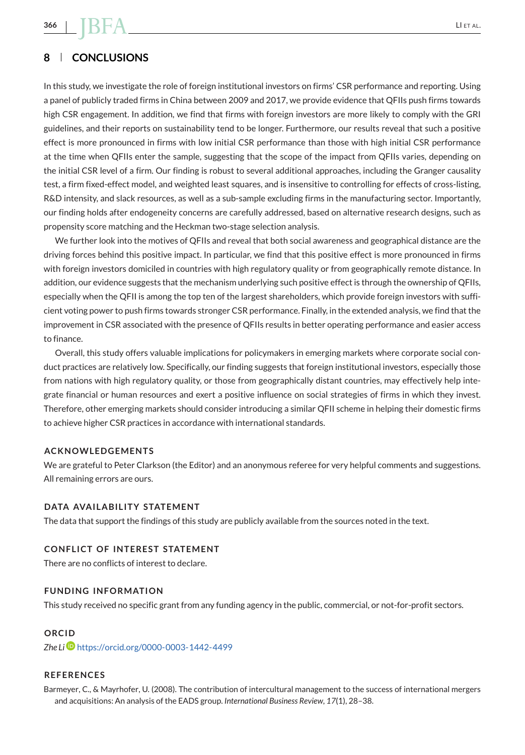# <span id="page-28-0"></span>**8 CONCLUSIONS**

In this study, we investigate the role of foreign institutional investors on firms' CSR performance and reporting. Using a panel of publicly traded firms in China between 2009 and 2017, we provide evidence that QFIIs push firms towards high CSR engagement. In addition, we find that firms with foreign investors are more likely to comply with the GRI guidelines, and their reports on sustainability tend to be longer. Furthermore, our results reveal that such a positive effect is more pronounced in firms with low initial CSR performance than those with high initial CSR performance at the time when QFIIs enter the sample, suggesting that the scope of the impact from QFIIs varies, depending on the initial CSR level of a firm. Our finding is robust to several additional approaches, including the Granger causality test, a firm fixed-effect model, and weighted least squares, and is insensitive to controlling for effects of cross-listing, R&D intensity, and slack resources, as well as a sub-sample excluding firms in the manufacturing sector. Importantly, our finding holds after endogeneity concerns are carefully addressed, based on alternative research designs, such as propensity score matching and the Heckman two-stage selection analysis.

We further look into the motives of QFIIs and reveal that both social awareness and geographical distance are the driving forces behind this positive impact. In particular, we find that this positive effect is more pronounced in firms with foreign investors domiciled in countries with high regulatory quality or from geographically remote distance. In addition, our evidence suggests that the mechanism underlying such positive effect is through the ownership of QFIIs, especially when the QFII is among the top ten of the largest shareholders, which provide foreign investors with sufficient voting power to push firms towards stronger CSR performance. Finally, in the extended analysis, we find that the improvement in CSR associated with the presence of QFIIs results in better operating performance and easier access to finance.

Overall, this study offers valuable implications for policymakers in emerging markets where corporate social conduct practices are relatively low. Specifically, our finding suggests that foreign institutional investors, especially those from nations with high regulatory quality, or those from geographically distant countries, may effectively help integrate financial or human resources and exert a positive influence on social strategies of firms in which they invest. Therefore, other emerging markets should consider introducing a similar QFII scheme in helping their domestic firms to achieve higher CSR practices in accordance with international standards.

#### **ACKNOWLEDGEMENTS**

We are grateful to Peter Clarkson (the Editor) and an anonymous referee for very helpful comments and suggestions. All remaining errors are ours.

#### **DATA AVAILABILITY STATEMENT**

The data that support the findings of this study are publicly available from the sources noted in the text.

#### **CONFLICT OF INTEREST STATEMENT**

There are no conflicts of interest to declare.

#### **FUNDING INFORMATION**

This study received no specific grant from any funding agency in the public, commercial, or not-for-profit sectors.

#### **ORCID**

*Zhe Li* <https://orcid.org/0000-0003-1442-4499>

# **REFERENCES**

Barmeyer, C., & Mayrhofer, U. (2008). The contribution of intercultural management to the success of international mergers and acquisitions: An analysis of the EADS group. *International Business Review*, *17*(1), 28–38.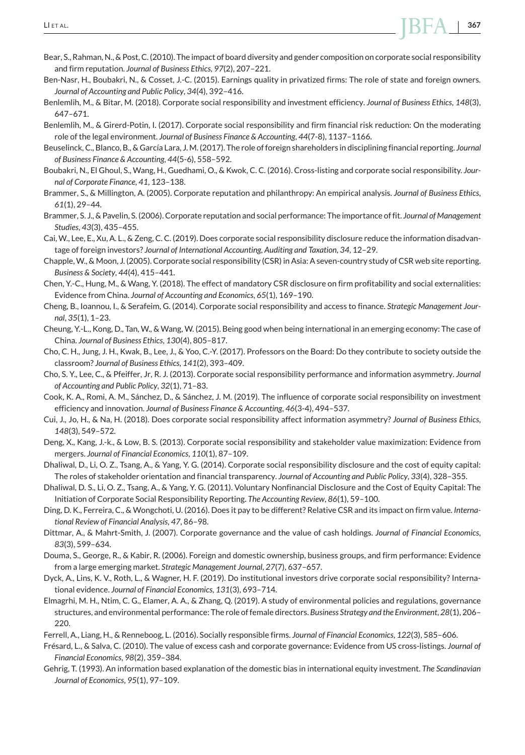- <span id="page-29-0"></span>Bear, S., Rahman, N., & Post, C. (2010). The impact of board diversity and gender composition on corporate social responsibility and firm reputation. *Journal of Business Ethics*, *97*(2), 207–221.
- Ben-Nasr, H., Boubakri, N., & Cosset, J.-C. (2015). Earnings quality in privatized firms: The role of state and foreign owners. *Journal of Accounting and Public Policy*, *34*(4), 392–416.
- Benlemlih, M., & Bitar, M. (2018). Corporate social responsibility and investment efficiency. *Journal of Business Ethics*, *148*(3), 647–671.
- Benlemlih, M., & Girerd-Potin, I. (2017). Corporate social responsibility and firm financial risk reduction: On the moderating role of the legal environment. *Journal of Business Finance & Accounting*, *44*(7-8), 1137–1166.
- Beuselinck, C., Blanco, B., & García Lara, J. M. (2017). The role of foreign shareholders in disciplining financial reporting. *Journal of Business Finance & Accounting*, *44*(5-6), 558–592.
- Boubakri, N., El Ghoul, S., Wang, H., Guedhami, O., & Kwok, C. C. (2016). Cross-listing and corporate social responsibility. *Journal of Corporate Finance*, *41*, 123–138.
- Brammer, S., & Millington, A. (2005). Corporate reputation and philanthropy: An empirical analysis. *Journal of Business Ethics*, *61*(1), 29–44.
- Brammer, S. J., & Pavelin, S. (2006). Corporate reputation and social performance: The importance of fit. *Journal of Management Studies*, *43*(3), 435–455.
- Cai, W., Lee, E., Xu, A. L., & Zeng, C. C. (2019). Does corporate social responsibility disclosure reduce the information disadvantage of foreign investors? *Journal of International Accounting, Auditing and Taxation*, *34*, 12–29.
- Chapple, W., & Moon, J. (2005). Corporate social responsibility (CSR) in Asia: A seven-country study of CSR web site reporting. *Business & Society*, *44*(4), 415–441.
- Chen, Y.-C., Hung, M., & Wang, Y. (2018). The effect of mandatory CSR disclosure on firm profitability and social externalities: Evidence from China. *Journal of Accounting and Economics*, *65*(1), 169–190.
- Cheng, B., Ioannou, I., & Serafeim, G. (2014). Corporate social responsibility and access to finance. *Strategic Management Journal*, *35*(1), 1–23.
- Cheung, Y.-L., Kong, D., Tan, W., & Wang, W. (2015). Being good when being international in an emerging economy: The case of China. *Journal of Business Ethics*, *130*(4), 805–817.
- Cho, C. H., Jung, J. H., Kwak, B., Lee, J., & Yoo, C.-Y. (2017). Professors on the Board: Do they contribute to society outside the classroom? *Journal of Business Ethics*, *141*(2), 393–409.
- Cho, S. Y., Lee, C., & Pfeiffer, Jr, R. J. (2013). Corporate social responsibility performance and information asymmetry. *Journal of Accounting and Public Policy*, *32*(1), 71–83.
- Cook, K. A., Romi, A. M., Sánchez, D., & Sánchez, J. M. (2019). The influence of corporate social responsibility on investment efficiency and innovation. *Journal of Business Finance & Accounting*, *46*(3-4), 494–537.
- Cui, J., Jo, H., & Na, H. (2018). Does corporate social responsibility affect information asymmetry? *Journal of Business Ethics*, *148*(3), 549–572.
- Deng, X., Kang, J.-k., & Low, B. S. (2013). Corporate social responsibility and stakeholder value maximization: Evidence from mergers. *Journal of Financial Economics*, *110*(1), 87–109.
- Dhaliwal, D., Li, O. Z., Tsang, A., & Yang, Y. G. (2014). Corporate social responsibility disclosure and the cost of equity capital: The roles of stakeholder orientation and financial transparency. *Journal of Accounting and Public Policy*, *33*(4), 328–355.
- Dhaliwal, D. S., Li, O. Z., Tsang, A., & Yang, Y. G. (2011). Voluntary Nonfinancial Disclosure and the Cost of Equity Capital: The Initiation of Corporate Social Responsibility Reporting. *The Accounting Review*, *86*(1), 59–100.
- Ding, D. K., Ferreira, C., & Wongchoti, U. (2016). Does it pay to be different? Relative CSR and its impact on firm value. *International Review of Financial Analysis*, *47*, 86–98.
- Dittmar, A., & Mahrt-Smith, J. (2007). Corporate governance and the value of cash holdings. *Journal of Financial Economics*, *83*(3), 599–634.
- Douma, S., George, R., & Kabir, R. (2006). Foreign and domestic ownership, business groups, and firm performance: Evidence from a large emerging market. *Strategic Management Journal*, *27*(7), 637–657.
- Dyck, A., Lins, K. V., Roth, L., & Wagner, H. F. (2019). Do institutional investors drive corporate social responsibility? International evidence. *Journal of Financial Economics*, *131*(3), 693–714.
- Elmagrhi, M. H., Ntim, C. G., Elamer, A. A., & Zhang, Q. (2019). A study of environmental policies and regulations, governance structures, and environmental performance: The role of female directors. *Business Strategy and the Environment*, *28*(1), 206– 220.
- Ferrell, A., Liang, H., & Renneboog, L. (2016). Socially responsible firms. *Journal of Financial Economics*, *122*(3), 585–606.
- Frésard, L., & Salva, C. (2010). The value of excess cash and corporate governance: Evidence from US cross-listings. *Journal of Financial Economics*, *98*(2), 359–384.
- Gehrig, T. (1993). An information based explanation of the domestic bias in international equity investment. *The Scandinavian Journal of Economics*, *95*(1), 97–109.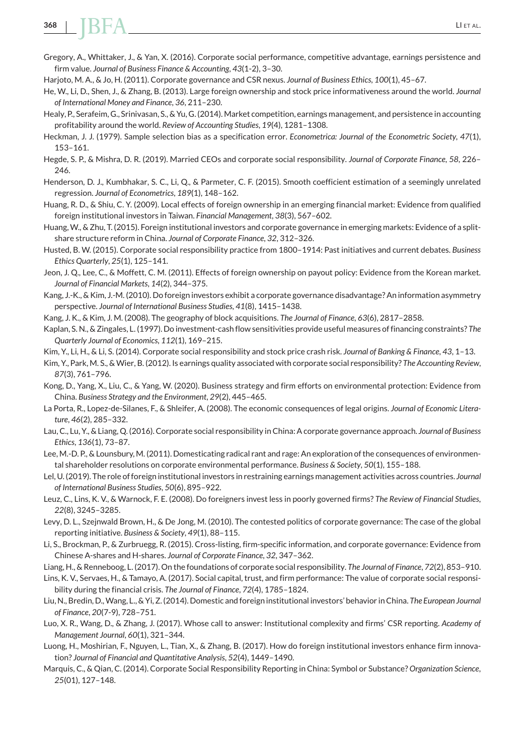- <span id="page-30-0"></span>Gregory, A., Whittaker, J., & Yan, X. (2016). Corporate social performance, competitive advantage, earnings persistence and firm value. *Journal of Business Finance & Accounting*, *43*(1-2), 3–30.
- Harjoto, M. A., & Jo, H. (2011). Corporate governance and CSR nexus. *Journal of Business Ethics*, *100*(1), 45–67.
- He, W., Li, D., Shen, J., & Zhang, B. (2013). Large foreign ownership and stock price informativeness around the world. *Journal of International Money and Finance*, *36*, 211–230.
- Healy, P., Serafeim, G., Srinivasan, S., & Yu, G. (2014). Market competition, earnings management, and persistence in accounting profitability around the world. *Review of Accounting Studies*, *19*(4), 1281–1308.
- Heckman, J. J. (1979). Sample selection bias as a specification error. *Econometrica: Journal of the Econometric Society*, *47*(1), 153–161.
- Hegde, S. P., & Mishra, D. R. (2019). Married CEOs and corporate social responsibility. *Journal of Corporate Finance*, *58*, 226– 246.
- Henderson, D. J., Kumbhakar, S. C., Li, Q., & Parmeter, C. F. (2015). Smooth coefficient estimation of a seemingly unrelated regression. *Journal of Econometrics*, *189*(1), 148–162.
- Huang, R. D., & Shiu, C. Y. (2009). Local effects of foreign ownership in an emerging financial market: Evidence from qualified foreign institutional investors in Taiwan. *Financial Management*, *38*(3), 567–602.
- Huang,W., & Zhu, T. (2015). Foreign institutional investors and corporate governance in emerging markets: Evidence of a splitshare structure reform in China. *Journal of Corporate Finance*, *32*, 312–326.
- Husted, B. W. (2015). Corporate social responsibility practice from 1800–1914: Past initiatives and current debates. *Business Ethics Quarterly*, *25*(1), 125–141.
- Jeon, J. Q., Lee, C., & Moffett, C. M. (2011). Effects of foreign ownership on payout policy: Evidence from the Korean market. *Journal of Financial Markets*, *14*(2), 344–375.
- Kang, J.-K., & Kim, J.-M. (2010). Do foreign investors exhibit a corporate governance disadvantage? An information asymmetry perspective. *Journal of International Business Studies*, *41*(8), 1415–1438.
- Kang, J. K., & Kim, J. M. (2008). The geography of block acquisitions. *The Journal of Finance*, *63*(6), 2817–2858.
- Kaplan, S. N., & Zingales, L. (1997). Do investment-cash flow sensitivities provide useful measures of financing constraints? *The Quarterly Journal of Economics*, *112*(1), 169–215.

Kim, Y., Li, H., & Li, S. (2014). Corporate social responsibility and stock price crash risk. *Journal of Banking & Finance*, *43*, 1–13.

- Kim, Y., Park, M. S., &Wier, B. (2012). Is earnings quality associated with corporate social responsibility? *The Accounting Review*, *87*(3), 761–796.
- Kong, D., Yang, X., Liu, C., & Yang, W. (2020). Business strategy and firm efforts on environmental protection: Evidence from China. *Business Strategy and the Environment*, *29*(2), 445–465.
- La Porta, R., Lopez-de-Silanes, F., & Shleifer, A. (2008). The economic consequences of legal origins. *Journal of Economic Literature*, *46*(2), 285–332.
- Lau, C., Lu, Y., & Liang, Q. (2016). Corporate social responsibility in China: A corporate governance approach. *Journal of Business Ethics*, *136*(1), 73–87.
- Lee, M.-D. P., & Lounsbury, M. (2011). Domesticating radical rant and rage: An exploration of the consequences of environmental shareholder resolutions on corporate environmental performance. *Business & Society*, *50*(1), 155–188.
- Lel, U. (2019). The role of foreign institutional investors in restraining earnings management activities across countries. *Journal of International Business Studies*, *50*(6), 895–922.
- Leuz, C., Lins, K. V., & Warnock, F. E. (2008). Do foreigners invest less in poorly governed firms? *The Review of Financial Studies*, *22*(8), 3245–3285.
- Levy, D. L., Szejnwald Brown, H., & De Jong, M. (2010). The contested politics of corporate governance: The case of the global reporting initiative. *Business & Society*, *49*(1), 88–115.
- Li, S., Brockman, P., & Zurbruegg, R. (2015). Cross-listing, firm-specific information, and corporate governance: Evidence from Chinese A-shares and H-shares. *Journal of Corporate Finance*, *32*, 347–362.
- Liang, H., & Renneboog, L. (2017). On the foundations of corporate social responsibility. *The Journal of Finance*, *72*(2), 853–910.
- Lins, K. V., Servaes, H., & Tamayo, A. (2017). Social capital, trust, and firm performance: The value of corporate social responsibility during the financial crisis. *The Journal of Finance*, *72*(4), 1785–1824.
- Liu, N., Bredin, D.,Wang, L., & Yi, Z. (2014). Domestic and foreign institutional investors' behavior in China. *The European Journal of Finance*, *20*(7-9), 728–751.
- Luo, X. R., Wang, D., & Zhang, J. (2017). Whose call to answer: Institutional complexity and firms' CSR reporting. *Academy of Management Journal*, *60*(1), 321–344.
- Luong, H., Moshirian, F., Nguyen, L., Tian, X., & Zhang, B. (2017). How do foreign institutional investors enhance firm innovation? *Journal of Financial and Quantitative Analysis*, *52*(4), 1449–1490.
- Marquis, C., & Qian, C. (2014). Corporate Social Responsibility Reporting in China: Symbol or Substance? *Organization Science*, *25*(01), 127–148.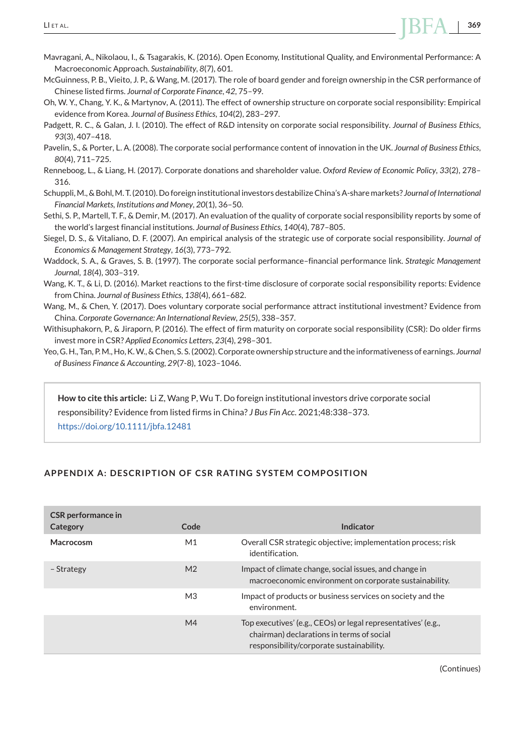- <span id="page-31-0"></span>Mavragani, A., Nikolaou, I., & Tsagarakis, K. (2016). Open Economy, Institutional Quality, and Environmental Performance: A Macroeconomic Approach. *Sustainability*, *8*(7), 601.
- McGuinness, P. B., Vieito, J. P., & Wang, M. (2017). The role of board gender and foreign ownership in the CSR performance of Chinese listed firms. *Journal of Corporate Finance*, *42*, 75–99.
- Oh, W. Y., Chang, Y. K., & Martynov, A. (2011). The effect of ownership structure on corporate social responsibility: Empirical evidence from Korea. *Journal of Business Ethics*, *104*(2), 283–297.
- Padgett, R. C., & Galan, J. I. (2010). The effect of R&D intensity on corporate social responsibility. *Journal of Business Ethics*, *93*(3), 407–418.
- Pavelin, S., & Porter, L. A. (2008). The corporate social performance content of innovation in the UK. *Journal of Business Ethics*, *80*(4), 711–725.
- Renneboog, L., & Liang, H. (2017). Corporate donations and shareholder value. *Oxford Review of Economic Policy*, *33*(2), 278– 316.
- Schuppli,M., & Bohl,M. T. (2010). Do foreign institutional investors destabilize China's A-share markets? *Journal of International Financial Markets, Institutions and Money*, *20*(1), 36–50.
- Sethi, S. P., Martell, T. F., & Demir, M. (2017). An evaluation of the quality of corporate social responsibility reports by some of the world's largest financial institutions. *Journal of Business Ethics*, *140*(4), 787–805.
- Siegel, D. S., & Vitaliano, D. F. (2007). An empirical analysis of the strategic use of corporate social responsibility. *Journal of Economics & Management Strategy*, *16*(3), 773–792.
- Waddock, S. A., & Graves, S. B. (1997). The corporate social performance–financial performance link. *Strategic Management Journal*, *18*(4), 303–319.
- Wang, K. T., & Li, D. (2016). Market reactions to the first-time disclosure of corporate social responsibility reports: Evidence from China. *Journal of Business Ethics*, *138*(4), 661–682.
- Wang, M., & Chen, Y. (2017). Does voluntary corporate social performance attract institutional investment? Evidence from China. *Corporate Governance: An International Review*, *25*(5), 338–357.
- Withisuphakorn, P., & Jiraporn, P. (2016). The effect of firm maturity on corporate social responsibility (CSR): Do older firms invest more in CSR? *Applied Economics Letters*, *23*(4), 298–301.
- Yeo, G. H., Tan, P.M., Ho, K.W., & Chen, S. S. (2002). Corporate ownership structure and the informativeness of earnings. *Journal of Business Finance & Accounting*, *29*(7-8), 1023–1046.

**How to cite this article:** Li Z, Wang P, Wu T. Do foreign institutional investors drive corporate social responsibility? Evidence from listed firms in China? *J Bus Fin Acc*. 2021;48:338–373. <https://doi.org/10.1111/jbfa.12481>

# **APPENDIX A: DESCRIPTION OF CSR RATING SYSTEM COMPOSITION**

| <b>CSR</b> performance in<br>Category | Code           | Indicator                                                                                                                                              |
|---------------------------------------|----------------|--------------------------------------------------------------------------------------------------------------------------------------------------------|
| Macrocosm                             | M1             | Overall CSR strategic objective; implementation process; risk<br>identification.                                                                       |
| - Strategy                            | M <sub>2</sub> | Impact of climate change, social issues, and change in<br>macroeconomic environment on corporate sustainability.                                       |
|                                       | M <sub>3</sub> | Impact of products or business services on society and the<br>environment.                                                                             |
|                                       | M4             | Top executives' (e.g., CEOs) or legal representatives' (e.g.,<br>chairman) declarations in terms of social<br>responsibility/corporate sustainability. |

(Continues)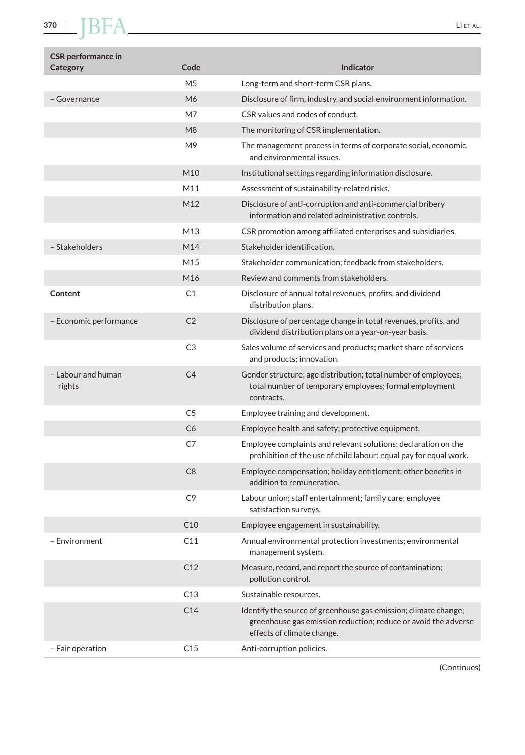| M <sub>5</sub><br>Long-term and short-term CSR plans.<br>M6<br>Disclosure of firm, industry, and social environment information.<br>- Governance<br>CSR values and codes of conduct.<br>M7<br>M <sub>8</sub><br>The monitoring of CSR implementation.<br>M <sub>9</sub><br>The management process in terms of corporate social, economic,<br>and environmental issues.<br>M <sub>10</sub><br>Institutional settings regarding information disclosure.<br>M11<br>Assessment of sustainability-related risks.<br>M12<br>Disclosure of anti-corruption and anti-commercial bribery<br>information and related administrative controls.<br>M13<br>CSR promotion among affiliated enterprises and subsidiaries.<br>- Stakeholders<br>M14<br>Stakeholder identification.<br>M15<br>Stakeholder communication; feedback from stakeholders.<br>M16<br>Review and comments from stakeholders.<br>Content<br>C1<br>Disclosure of annual total revenues, profits, and dividend<br>distribution plans.<br>C <sub>2</sub><br>- Economic performance<br>Disclosure of percentage change in total revenues, profits, and<br>dividend distribution plans on a year-on-year basis.<br>C <sub>3</sub><br>Sales volume of services and products; market share of services<br>and products; innovation.<br>- Labour and human<br>C <sub>4</sub><br>Gender structure; age distribution; total number of employees;<br>rights<br>total number of temporary employees; formal employment<br>contracts.<br>C <sub>5</sub><br>Employee training and development.<br>C6<br>Employee health and safety; protective equipment.<br>C7<br>Employee complaints and relevant solutions; declaration on the<br>prohibition of the use of child labour; equal pay for equal work.<br>C8<br>Employee compensation; holiday entitlement; other benefits in<br>addition to remuneration.<br>C <sub>9</sub><br>Labour union; staff entertainment; family care; employee<br>satisfaction surveys.<br>C10<br>Employee engagement in sustainability.<br>– Environment<br>C11<br>Annual environmental protection investments; environmental<br>management system.<br>C12<br>Measure, record, and report the source of contamination;<br>pollution control.<br>C13<br>Sustainable resources.<br>C14<br>Identify the source of greenhouse gas emission; climate change;<br>greenhouse gas emission reduction; reduce or avoid the adverse<br>effects of climate change.<br>- Fair operation<br>C15<br>Anti-corruption policies. | <b>CSR</b> performance in<br>Category | Code | <b>Indicator</b> |
|-------------------------------------------------------------------------------------------------------------------------------------------------------------------------------------------------------------------------------------------------------------------------------------------------------------------------------------------------------------------------------------------------------------------------------------------------------------------------------------------------------------------------------------------------------------------------------------------------------------------------------------------------------------------------------------------------------------------------------------------------------------------------------------------------------------------------------------------------------------------------------------------------------------------------------------------------------------------------------------------------------------------------------------------------------------------------------------------------------------------------------------------------------------------------------------------------------------------------------------------------------------------------------------------------------------------------------------------------------------------------------------------------------------------------------------------------------------------------------------------------------------------------------------------------------------------------------------------------------------------------------------------------------------------------------------------------------------------------------------------------------------------------------------------------------------------------------------------------------------------------------------------------------------------------------------------------------------------------------------------------------------------------------------------------------------------------------------------------------------------------------------------------------------------------------------------------------------------------------------------------------------------------------------------------------------------------------------------------------------------------------------------------------------------------------------------------------------------------------------|---------------------------------------|------|------------------|
|                                                                                                                                                                                                                                                                                                                                                                                                                                                                                                                                                                                                                                                                                                                                                                                                                                                                                                                                                                                                                                                                                                                                                                                                                                                                                                                                                                                                                                                                                                                                                                                                                                                                                                                                                                                                                                                                                                                                                                                                                                                                                                                                                                                                                                                                                                                                                                                                                                                                                     |                                       |      |                  |
|                                                                                                                                                                                                                                                                                                                                                                                                                                                                                                                                                                                                                                                                                                                                                                                                                                                                                                                                                                                                                                                                                                                                                                                                                                                                                                                                                                                                                                                                                                                                                                                                                                                                                                                                                                                                                                                                                                                                                                                                                                                                                                                                                                                                                                                                                                                                                                                                                                                                                     |                                       |      |                  |
|                                                                                                                                                                                                                                                                                                                                                                                                                                                                                                                                                                                                                                                                                                                                                                                                                                                                                                                                                                                                                                                                                                                                                                                                                                                                                                                                                                                                                                                                                                                                                                                                                                                                                                                                                                                                                                                                                                                                                                                                                                                                                                                                                                                                                                                                                                                                                                                                                                                                                     |                                       |      |                  |
|                                                                                                                                                                                                                                                                                                                                                                                                                                                                                                                                                                                                                                                                                                                                                                                                                                                                                                                                                                                                                                                                                                                                                                                                                                                                                                                                                                                                                                                                                                                                                                                                                                                                                                                                                                                                                                                                                                                                                                                                                                                                                                                                                                                                                                                                                                                                                                                                                                                                                     |                                       |      |                  |
|                                                                                                                                                                                                                                                                                                                                                                                                                                                                                                                                                                                                                                                                                                                                                                                                                                                                                                                                                                                                                                                                                                                                                                                                                                                                                                                                                                                                                                                                                                                                                                                                                                                                                                                                                                                                                                                                                                                                                                                                                                                                                                                                                                                                                                                                                                                                                                                                                                                                                     |                                       |      |                  |
|                                                                                                                                                                                                                                                                                                                                                                                                                                                                                                                                                                                                                                                                                                                                                                                                                                                                                                                                                                                                                                                                                                                                                                                                                                                                                                                                                                                                                                                                                                                                                                                                                                                                                                                                                                                                                                                                                                                                                                                                                                                                                                                                                                                                                                                                                                                                                                                                                                                                                     |                                       |      |                  |
|                                                                                                                                                                                                                                                                                                                                                                                                                                                                                                                                                                                                                                                                                                                                                                                                                                                                                                                                                                                                                                                                                                                                                                                                                                                                                                                                                                                                                                                                                                                                                                                                                                                                                                                                                                                                                                                                                                                                                                                                                                                                                                                                                                                                                                                                                                                                                                                                                                                                                     |                                       |      |                  |
|                                                                                                                                                                                                                                                                                                                                                                                                                                                                                                                                                                                                                                                                                                                                                                                                                                                                                                                                                                                                                                                                                                                                                                                                                                                                                                                                                                                                                                                                                                                                                                                                                                                                                                                                                                                                                                                                                                                                                                                                                                                                                                                                                                                                                                                                                                                                                                                                                                                                                     |                                       |      |                  |
|                                                                                                                                                                                                                                                                                                                                                                                                                                                                                                                                                                                                                                                                                                                                                                                                                                                                                                                                                                                                                                                                                                                                                                                                                                                                                                                                                                                                                                                                                                                                                                                                                                                                                                                                                                                                                                                                                                                                                                                                                                                                                                                                                                                                                                                                                                                                                                                                                                                                                     |                                       |      |                  |
|                                                                                                                                                                                                                                                                                                                                                                                                                                                                                                                                                                                                                                                                                                                                                                                                                                                                                                                                                                                                                                                                                                                                                                                                                                                                                                                                                                                                                                                                                                                                                                                                                                                                                                                                                                                                                                                                                                                                                                                                                                                                                                                                                                                                                                                                                                                                                                                                                                                                                     |                                       |      |                  |
|                                                                                                                                                                                                                                                                                                                                                                                                                                                                                                                                                                                                                                                                                                                                                                                                                                                                                                                                                                                                                                                                                                                                                                                                                                                                                                                                                                                                                                                                                                                                                                                                                                                                                                                                                                                                                                                                                                                                                                                                                                                                                                                                                                                                                                                                                                                                                                                                                                                                                     |                                       |      |                  |
|                                                                                                                                                                                                                                                                                                                                                                                                                                                                                                                                                                                                                                                                                                                                                                                                                                                                                                                                                                                                                                                                                                                                                                                                                                                                                                                                                                                                                                                                                                                                                                                                                                                                                                                                                                                                                                                                                                                                                                                                                                                                                                                                                                                                                                                                                                                                                                                                                                                                                     |                                       |      |                  |
|                                                                                                                                                                                                                                                                                                                                                                                                                                                                                                                                                                                                                                                                                                                                                                                                                                                                                                                                                                                                                                                                                                                                                                                                                                                                                                                                                                                                                                                                                                                                                                                                                                                                                                                                                                                                                                                                                                                                                                                                                                                                                                                                                                                                                                                                                                                                                                                                                                                                                     |                                       |      |                  |
|                                                                                                                                                                                                                                                                                                                                                                                                                                                                                                                                                                                                                                                                                                                                                                                                                                                                                                                                                                                                                                                                                                                                                                                                                                                                                                                                                                                                                                                                                                                                                                                                                                                                                                                                                                                                                                                                                                                                                                                                                                                                                                                                                                                                                                                                                                                                                                                                                                                                                     |                                       |      |                  |
|                                                                                                                                                                                                                                                                                                                                                                                                                                                                                                                                                                                                                                                                                                                                                                                                                                                                                                                                                                                                                                                                                                                                                                                                                                                                                                                                                                                                                                                                                                                                                                                                                                                                                                                                                                                                                                                                                                                                                                                                                                                                                                                                                                                                                                                                                                                                                                                                                                                                                     |                                       |      |                  |
|                                                                                                                                                                                                                                                                                                                                                                                                                                                                                                                                                                                                                                                                                                                                                                                                                                                                                                                                                                                                                                                                                                                                                                                                                                                                                                                                                                                                                                                                                                                                                                                                                                                                                                                                                                                                                                                                                                                                                                                                                                                                                                                                                                                                                                                                                                                                                                                                                                                                                     |                                       |      |                  |
|                                                                                                                                                                                                                                                                                                                                                                                                                                                                                                                                                                                                                                                                                                                                                                                                                                                                                                                                                                                                                                                                                                                                                                                                                                                                                                                                                                                                                                                                                                                                                                                                                                                                                                                                                                                                                                                                                                                                                                                                                                                                                                                                                                                                                                                                                                                                                                                                                                                                                     |                                       |      |                  |
|                                                                                                                                                                                                                                                                                                                                                                                                                                                                                                                                                                                                                                                                                                                                                                                                                                                                                                                                                                                                                                                                                                                                                                                                                                                                                                                                                                                                                                                                                                                                                                                                                                                                                                                                                                                                                                                                                                                                                                                                                                                                                                                                                                                                                                                                                                                                                                                                                                                                                     |                                       |      |                  |
|                                                                                                                                                                                                                                                                                                                                                                                                                                                                                                                                                                                                                                                                                                                                                                                                                                                                                                                                                                                                                                                                                                                                                                                                                                                                                                                                                                                                                                                                                                                                                                                                                                                                                                                                                                                                                                                                                                                                                                                                                                                                                                                                                                                                                                                                                                                                                                                                                                                                                     |                                       |      |                  |
|                                                                                                                                                                                                                                                                                                                                                                                                                                                                                                                                                                                                                                                                                                                                                                                                                                                                                                                                                                                                                                                                                                                                                                                                                                                                                                                                                                                                                                                                                                                                                                                                                                                                                                                                                                                                                                                                                                                                                                                                                                                                                                                                                                                                                                                                                                                                                                                                                                                                                     |                                       |      |                  |
|                                                                                                                                                                                                                                                                                                                                                                                                                                                                                                                                                                                                                                                                                                                                                                                                                                                                                                                                                                                                                                                                                                                                                                                                                                                                                                                                                                                                                                                                                                                                                                                                                                                                                                                                                                                                                                                                                                                                                                                                                                                                                                                                                                                                                                                                                                                                                                                                                                                                                     |                                       |      |                  |
|                                                                                                                                                                                                                                                                                                                                                                                                                                                                                                                                                                                                                                                                                                                                                                                                                                                                                                                                                                                                                                                                                                                                                                                                                                                                                                                                                                                                                                                                                                                                                                                                                                                                                                                                                                                                                                                                                                                                                                                                                                                                                                                                                                                                                                                                                                                                                                                                                                                                                     |                                       |      |                  |
|                                                                                                                                                                                                                                                                                                                                                                                                                                                                                                                                                                                                                                                                                                                                                                                                                                                                                                                                                                                                                                                                                                                                                                                                                                                                                                                                                                                                                                                                                                                                                                                                                                                                                                                                                                                                                                                                                                                                                                                                                                                                                                                                                                                                                                                                                                                                                                                                                                                                                     |                                       |      |                  |
|                                                                                                                                                                                                                                                                                                                                                                                                                                                                                                                                                                                                                                                                                                                                                                                                                                                                                                                                                                                                                                                                                                                                                                                                                                                                                                                                                                                                                                                                                                                                                                                                                                                                                                                                                                                                                                                                                                                                                                                                                                                                                                                                                                                                                                                                                                                                                                                                                                                                                     |                                       |      |                  |
|                                                                                                                                                                                                                                                                                                                                                                                                                                                                                                                                                                                                                                                                                                                                                                                                                                                                                                                                                                                                                                                                                                                                                                                                                                                                                                                                                                                                                                                                                                                                                                                                                                                                                                                                                                                                                                                                                                                                                                                                                                                                                                                                                                                                                                                                                                                                                                                                                                                                                     |                                       |      |                  |
|                                                                                                                                                                                                                                                                                                                                                                                                                                                                                                                                                                                                                                                                                                                                                                                                                                                                                                                                                                                                                                                                                                                                                                                                                                                                                                                                                                                                                                                                                                                                                                                                                                                                                                                                                                                                                                                                                                                                                                                                                                                                                                                                                                                                                                                                                                                                                                                                                                                                                     |                                       |      |                  |
|                                                                                                                                                                                                                                                                                                                                                                                                                                                                                                                                                                                                                                                                                                                                                                                                                                                                                                                                                                                                                                                                                                                                                                                                                                                                                                                                                                                                                                                                                                                                                                                                                                                                                                                                                                                                                                                                                                                                                                                                                                                                                                                                                                                                                                                                                                                                                                                                                                                                                     |                                       |      |                  |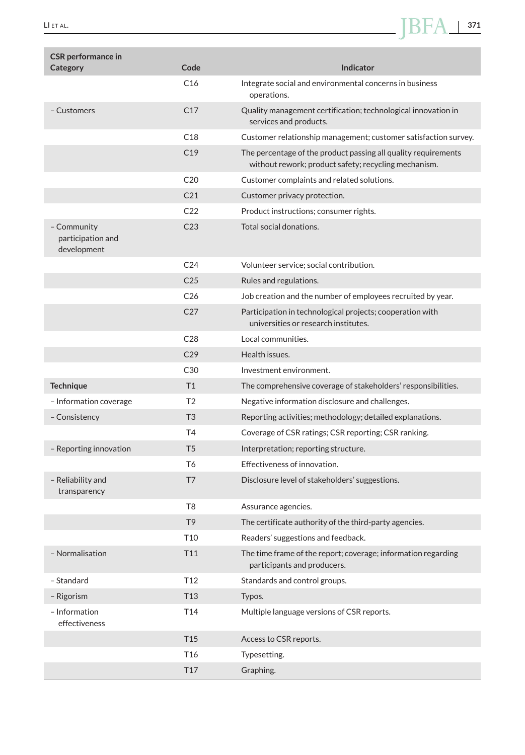

| <b>CSR</b> performance in<br>Category           | Code            | <b>Indicator</b>                                                                                                       |
|-------------------------------------------------|-----------------|------------------------------------------------------------------------------------------------------------------------|
|                                                 | C16             | Integrate social and environmental concerns in business                                                                |
|                                                 |                 | operations.                                                                                                            |
| - Customers                                     | C17             | Quality management certification; technological innovation in<br>services and products.                                |
|                                                 | C18             | Customer relationship management; customer satisfaction survey.                                                        |
|                                                 | C19             | The percentage of the product passing all quality requirements<br>without rework; product safety; recycling mechanism. |
|                                                 | C <sub>20</sub> | Customer complaints and related solutions.                                                                             |
|                                                 | C <sub>21</sub> | Customer privacy protection.                                                                                           |
|                                                 | C <sub>22</sub> | Product instructions; consumer rights.                                                                                 |
| - Community<br>participation and<br>development | C <sub>23</sub> | Total social donations.                                                                                                |
|                                                 | C <sub>24</sub> | Volunteer service; social contribution.                                                                                |
|                                                 | C <sub>25</sub> | Rules and regulations.                                                                                                 |
|                                                 | C <sub>26</sub> | Job creation and the number of employees recruited by year.                                                            |
|                                                 | C <sub>27</sub> | Participation in technological projects; cooperation with<br>universities or research institutes.                      |
|                                                 | C <sub>28</sub> | Local communities.                                                                                                     |
|                                                 | C <sub>29</sub> | Health issues.                                                                                                         |
|                                                 | C30             | Investment environment.                                                                                                |
| <b>Technique</b>                                | T1              | The comprehensive coverage of stakeholders' responsibilities.                                                          |
| - Information coverage                          | T <sub>2</sub>  | Negative information disclosure and challenges.                                                                        |
| - Consistency                                   | T <sub>3</sub>  | Reporting activities; methodology; detailed explanations.                                                              |
|                                                 | T4              | Coverage of CSR ratings; CSR reporting; CSR ranking.                                                                   |
| - Reporting innovation                          | T <sub>5</sub>  | Interpretation; reporting structure.                                                                                   |
|                                                 | T <sub>6</sub>  | Effectiveness of innovation.                                                                                           |
| - Reliability and<br>transparency               | T7              | Disclosure level of stakeholders' suggestions.                                                                         |
|                                                 | T <sub>8</sub>  | Assurance agencies.                                                                                                    |
|                                                 | T <sub>9</sub>  | The certificate authority of the third-party agencies.                                                                 |
|                                                 | <u>  10</u>     | Readers' suggestions and feedback.                                                                                     |
| - Normalisation                                 | T11             | The time frame of the report; coverage; information regarding<br>participants and producers.                           |
| - Standard                                      | T <sub>12</sub> | Standards and control groups.                                                                                          |
| - Rigorism                                      | T13             | Typos.                                                                                                                 |
| - Information<br>effectiveness                  | T14             | Multiple language versions of CSR reports.                                                                             |
|                                                 | T <sub>15</sub> | Access to CSR reports.                                                                                                 |
|                                                 | T <sub>16</sub> | Typesetting.                                                                                                           |
|                                                 | T17             | Graphing.                                                                                                              |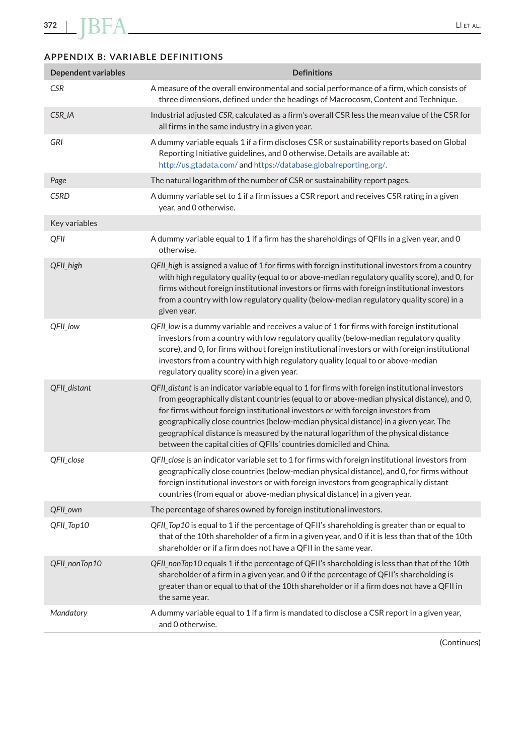# **APPENDIX B: VARIABLE DEFINITIONS**

| <b>Dependent variables</b> | <b>Definitions</b>                                                                                                                                                                                                                                                                                                                                                                                                                                                                                                                      |
|----------------------------|-----------------------------------------------------------------------------------------------------------------------------------------------------------------------------------------------------------------------------------------------------------------------------------------------------------------------------------------------------------------------------------------------------------------------------------------------------------------------------------------------------------------------------------------|
| <b>CSR</b>                 | A measure of the overall environmental and social performance of a firm, which consists of<br>three dimensions, defined under the headings of Macrocosm, Content and Technique.                                                                                                                                                                                                                                                                                                                                                         |
| CSR_IA                     | Industrial adjusted CSR, calculated as a firm's overall CSR less the mean value of the CSR for<br>all firms in the same industry in a given year.                                                                                                                                                                                                                                                                                                                                                                                       |
| GRI                        | A dummy variable equals 1 if a firm discloses CSR or sustainability reports based on Global<br>Reporting Initiative guidelines, and 0 otherwise. Details are available at:<br>http://us.gtadata.com/ and https://database.globalreporting.org/.                                                                                                                                                                                                                                                                                         |
| Page                       | The natural logarithm of the number of CSR or sustainability report pages.                                                                                                                                                                                                                                                                                                                                                                                                                                                              |
| <b>CSRD</b>                | A dummy variable set to 1 if a firm issues a CSR report and receives CSR rating in a given<br>year, and 0 otherwise.                                                                                                                                                                                                                                                                                                                                                                                                                    |
| Key variables              |                                                                                                                                                                                                                                                                                                                                                                                                                                                                                                                                         |
| QFII                       | A dummy variable equal to 1 if a firm has the shareholdings of QFIIs in a given year, and 0<br>otherwise.                                                                                                                                                                                                                                                                                                                                                                                                                               |
| QFIL high                  | QFIL high is assigned a value of 1 for firms with foreign institutional investors from a country<br>with high regulatory quality (equal to or above-median regulatory quality score), and 0, for<br>firms without foreign institutional investors or firms with foreign institutional investors<br>from a country with low regulatory quality (below-median regulatory quality score) in a<br>given year.                                                                                                                               |
| QFII_low                   | QFII low is a dummy variable and receives a value of 1 for firms with foreign institutional<br>investors from a country with low regulatory quality (below-median regulatory quality<br>score), and 0, for firms without foreign institutional investors or with foreign institutional<br>investors from a country with high regulatory quality (equal to or above-median<br>regulatory quality score) in a given year.                                                                                                                 |
| QFII_distant               | QFII_distant is an indicator variable equal to 1 for firms with foreign institutional investors<br>from geographically distant countries (equal to or above-median physical distance), and 0,<br>for firms without foreign institutional investors or with foreign investors from<br>geographically close countries (below-median physical distance) in a given year. The<br>geographical distance is measured by the natural logarithm of the physical distance<br>between the capital cities of QFIIs' countries domiciled and China. |
| QFII_close                 | QFII_close is an indicator variable set to 1 for firms with foreign institutional investors from<br>geographically close countries (below-median physical distance), and 0, for firms without<br>foreign institutional investors or with foreign investors from geographically distant<br>countries (from equal or above-median physical distance) in a given year.                                                                                                                                                                     |
| QFII_own                   | The percentage of shares owned by foreign institutional investors.                                                                                                                                                                                                                                                                                                                                                                                                                                                                      |
| QFII_Top10                 | QFII_Top10 is equal to 1 if the percentage of QFII's shareholding is greater than or equal to<br>that of the 10th shareholder of a firm in a given year, and 0 if it is less than that of the 10th<br>shareholder or if a firm does not have a QFII in the same year.                                                                                                                                                                                                                                                                   |
| QFII_nonTop10              | QFIL nonTop10 equals 1 if the percentage of QFII's shareholding is less than that of the 10th<br>shareholder of a firm in a given year, and 0 if the percentage of QFII's shareholding is<br>greater than or equal to that of the 10th shareholder or if a firm does not have a QFII in<br>the same year.                                                                                                                                                                                                                               |
| Mandatory                  | A dummy variable equal to 1 if a firm is mandated to disclose a CSR report in a given year,<br>and 0 otherwise.                                                                                                                                                                                                                                                                                                                                                                                                                         |

(Continues)